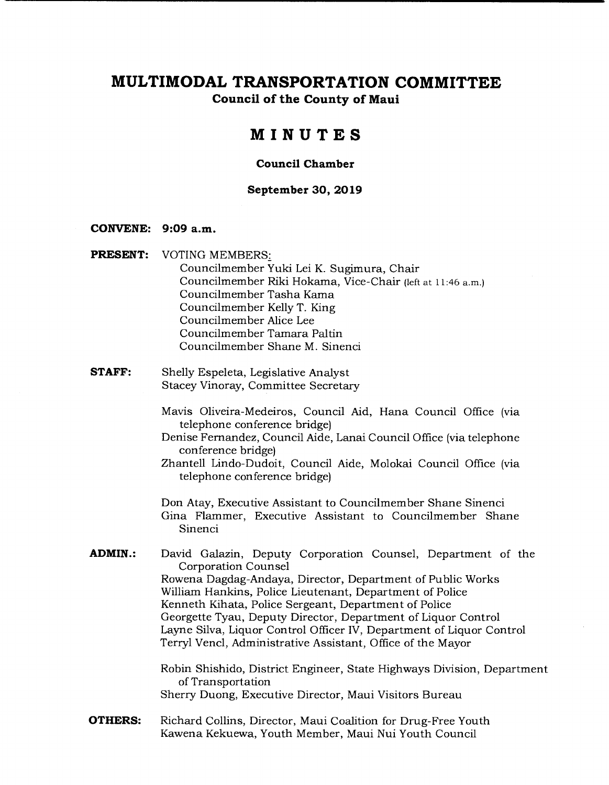**Council of the County of Maui** 

# **MINUTES**

#### **Council Chamber**

#### **September 30, 2019**

#### **CONVENE: 9:09 a.m.**

- **PRESENT:** VOTING MEMBERS: Councilmember Yuki Lei K. Sugimura, Chair Councilmember Riki Hokama, Vice-Chair (left at 11:46 a.m.) Councilmember Tasha Kama Councilmember Kelly T. King Councilmember Alice Lee Councilmember Tamara Paltin Councilmember Shane M. Sinenci
- **STAFF:** Shelly Espeleta, Legislative Analyst Stacey Vinoray, Committee Secretary
	- Mavis Oliveira-Medeiros, Council Aid, Hana Council Office (via telephone conference bridge)
	- Denise Fernandez, Council Aide, Lanai Council Office (via telephone conference bridge)
	- Zhantell Lindo-Dudoit, Council Aide, Molokai Council Office (via telephone conference bridge)

Don Atay, Executive Assistant to Councilmember Shane Sinenci Gina Flammer, Executive Assistant to Councilmember Shane Sinenci

**ADMIN.:** David Galazin, Deputy Corporation Counsel, Department of the Corporation Counsel Rowena Dagdag-Andaya, Director, Department of Public Works William Hankins, Police Lieutenant, Department of Police Kenneth Kihata, Police Sergeant, Department of Police Georgette Tyau, Deputy Director, Department of Liquor Control Layne Silva, Liquor Control Officer IV, Department of Liquor Control Terryl Vend, Administrative Assistant, Office of the Mayor

> Robin Shishido, District Engineer, State Highways Division, Department of Transportation Sherry Duong, Executive Director, Maui Visitors Bureau

**OTHERS:** Richard Collins, Director, Maui Coalition for Drug-Free Youth Kawena Kekuewa, Youth Member, Maui Nui Youth Council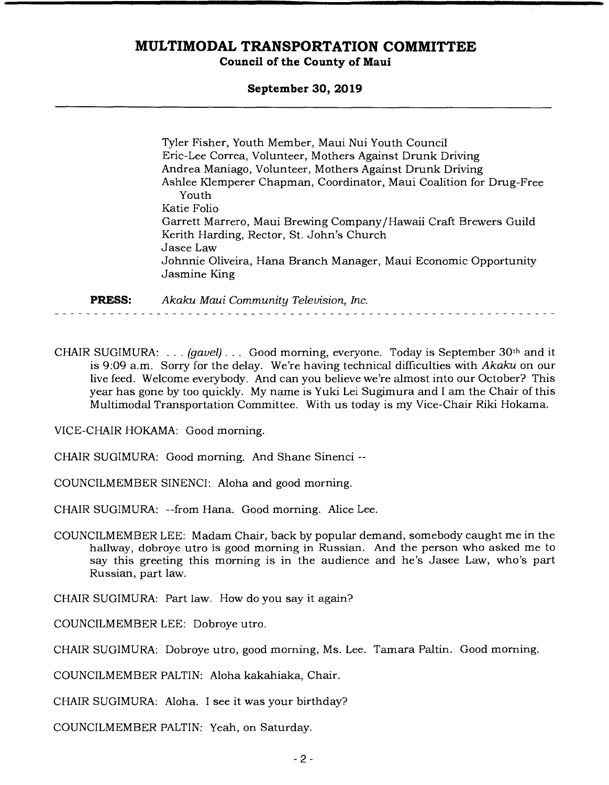#### **September 30, 2019**

Tyler Fisher, Youth Member, Maui Nui Youth Council Eric-Lee Correa, Volunteer, Mothers Against Drunk Driving Andrea Maniago, Volunteer, Mothers Against Drunk Driving Ashlee Kiemperer Chapman, Coordinator, Maui Coalition for Drug-Free Youth Katie Folio Garrett Marrero, Maui Brewing Company/Hawaii Craft Brewers Guild Kerith Harding, Rector, St. John's Church Jasee Law Johnnie Oliveira, Hana Branch Manager, Maui Economic Opportunity Jasmine King

**PRESS:** *Akaku Maui Community Television, Inc.* 

CHAIR SUGIMURA: . . . *(gavel). ..* Good morning, everyone. Today is September 30th and it is 9:09 a.m. Sorry for the delay. We're having technical difficulties with *Akaku* on our live feed. Welcome everybody. And can you believe we're almost into our October? This year has gone by too quickly. My name is Yuki Lei Sugimura and I am the Chair of this Multimodal Transportation Committee. With us today is my Vice-Chair Riki Hokama.

VICE-CHAIR HOKAMA: Good morning.

CHAIR SUGIMURA: Good morning. And Shane Sinenci --

COUNCILMEMBER SINENCI: Aloha and good morning.

CHAIR SUGIMURA: *--from* Hana. Good morning. Alice Lee.

- COUNCILMEMBER LEE: Madam Chair, back by popular demand, somebody caught me in the hallway, dobroye utro is good morning in Russian. And the person who asked me to say this greeting this morning is in the audience and he's Jasee Law, who's part Russian, part law.
- CHAIR SUGIMURA: Part law. How do you say it again?

COUNCILMEMBER LEE: Dobroye utro.

CHAIR SUGIMURA: Dobroye utro, good morning, Ms. Lee. Tamara Paltin. Good morning.

COUNCILMEMBER PALTIN: Aloha kakahiaka, Chair.

CHAIR SUGIMURA: Aloha. I see it was your birthday?

COUNCILMEMBER PALTIN: Yeah, on Saturday.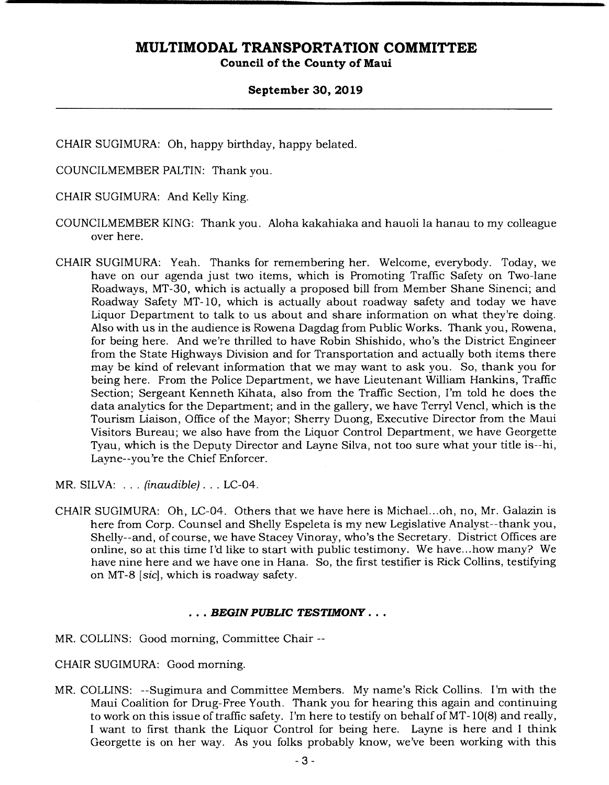#### **September 30, 2019**

CHAIR SUGIMURA: Oh, happy birthday, happy belated.

COUNCILMEMBER PALTIN: Thank you.

CHAIR SUGIMURA: And Kelly King.

- COUNCILMEMBER KING: Thank you. Aloha kakahiaka and hauoli la hanau to my colleague over here.
- CHAIR SUGIMURA: Yeah. Thanks for remembering her. Welcome, everybody. Today, we have on our agenda just two items, which is Promoting Traffic Safety on Two-lane Roadways, MT-30, which is actually a proposed bill from Member Shane Sinenci; and Roadway Safety MT-10, which is actually about roadway safety and today we have Liquor Department to talk to us about and share information on what they're doing. Also with us in the audience is Rowena Dagdag from Public Works. Thank you, Rowena, for being here. And we're thrilled to have Robin Shishido, who's the District Engineer from the State Highways Division and for Transportation and actually both items there may be kind of relevant information that we may want to ask you. So, thank you for being here. From the Police Department, we have Lieutenant William Hankins, Traffic Section; Sergeant Kenneth Kihata, also from the Traffic Section, I'm told he does the data analytics for the Department; and in the gallery, we have Terryl Vencl, which is the Tourism Liaison, Office of the Mayor; Sherry Duong, Executive Director from the Maui Visitors Bureau; we also have from the Liquor Control Department, we have Georgette Tyau, which is the Deputy Director and Layne Silva, not too sure what your title is--hi, Layne--you're the Chief Enforcer.

MR. SILVA: . . . *(inaudible). . .* LC-04.

CHAIR SUGIMURA: Oh, LC-04. Others that we have here is Michael.. .oh, no, Mr. Galazin is here from Corp. Counsel and Shelly Espeleta is my new Legislative Analyst--thank you, Shelly--and, of course, we have Stacey Vinoray, who's the Secretary. District Offices are online, so at this time I'd like to start with public testimony. We have.. .how many? We have nine here and we have one in Hana. So, the first testifier is Rick Collins, testifying on MT-8 *[sic],* which is roadway safety.

#### *• BEGIN PUBLIC TESTIMONY...*

MR. COLLINS: Good morning, Committee Chair --

CHAIR SUGIMURA: Good morning.

MR. COLLINS: --Sugimura and Committee Members. My name's Rick Collins. I'm with the Maui Coalition for Drug-Free Youth. Thank you for hearing this again and continuing to work on this issue of traffic safety. I'm here to testify on behalf of MT-10(8) and really, I want to first thank the Liquor Control for being here. Layne is here and I think Georgette is on her way. As you folks probably know, we've been working with this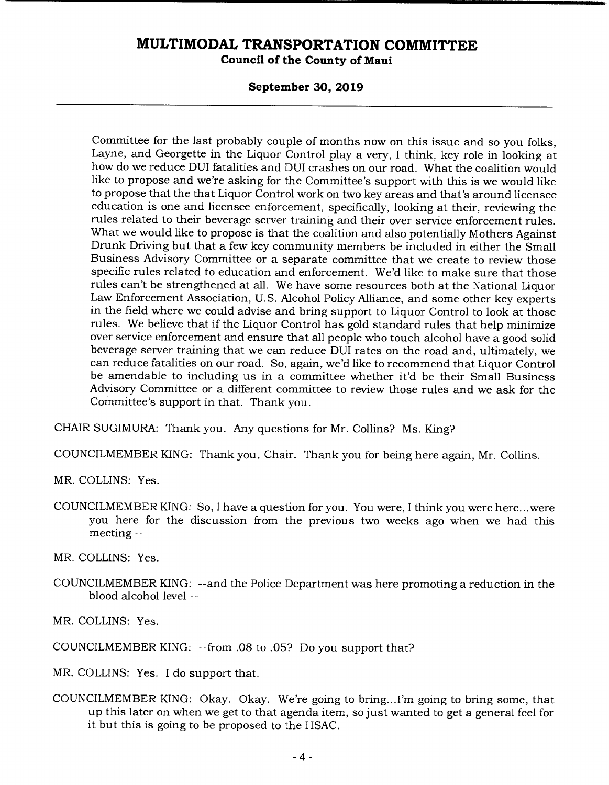**Council of the County of Maui** 

#### **September 30, 2019**

Committee for the last probably couple of months now on this issue and so you folks, Layne, and Georgette in the Liquor Control play a very, I think, key role in looking at how do we reduce DUI fatalities and DUI crashes on our road. What the coalition would like to propose and we're asking for the Committee's support with this is we would like to propose that the that Liquor Control work on two key areas and that's around licensee education is one and licensee enforcement, specifically, looking at their, reviewing the rules related to their beverage server training and their over service enforcement rules. What we would like to propose is that the coalition and also potentially Mothers Against Drunk Driving but that a few key community members be included in either the Small Business Advisory Committee or a separate committee that we create to review those specific rules related to education and enforcement. We'd like to make sure that those rules can't be strengthened at all. We have some resources both at the National Liquor Law Enforcement Association, U.S. Alcohol Policy Alliance, and some other key experts in the field where we could advise and bring support to Liquor Control to look at those rules. We believe that if the Liquor Control has gold standard rules that help minimize over service enforcement and ensure that all people who touch alcohol have a good solid beverage server training that we can reduce DUI rates on the road and, ultimately, we can reduce fatalities on our road. So, again, we'd like to recommend that Liquor Control be amendable to including us in a committee whether it'd be their Small Business Advisory Committee or a different committee to review those rules and we ask for the Committee's support in that. Thank you.

CHAIR SUGIMURA: Thank you. Any questions for Mr. Collins? Ms. King?

COUNCILMEMBER KING: Thank you, Chair. Thank you for being here again, Mr. Collins.

MR. COLLINS: Yes.

COUNCILMEMBER KING: So, I have a question for you. You were, I think you were here ... were you here for the discussion from the previous two weeks ago when we had this meeting --

MR. COLLINS: Yes.

COUNCILMEMBER KING: --and the Police Department was here promoting a reduction in the blood alcohol level --

MR. COLLINS: Yes.

COUNCILMEMBER KING: --from .08 to .05? Do you support that?

MR. COLLINS: Yes. I do support that.

COUNCILMEMBER KING: Okay. Okay. We're going to bring... I'm going to bring some, that up this later on when we get to that agenda item, so just wanted to get a general feel for it but this is going to be proposed to the HSAC.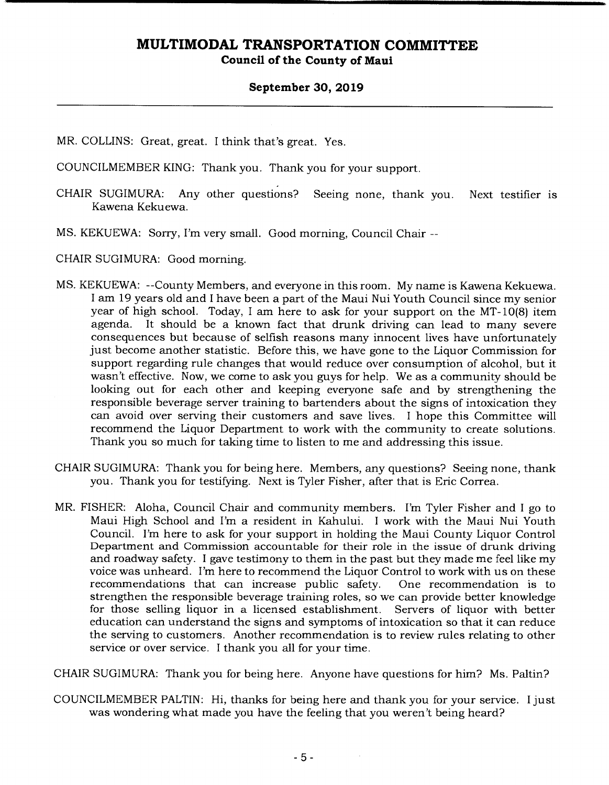**Council of the County of Maui** 

#### **September 30, 2019**

MR. COLLINS: Great, great. I think that's great. Yes.

COUNCILMEMBER KING: Thank you. Thank you for your support.

- CHAIR SUGIMURA: Any other questions? Seeing none, thank you. Next testifier is Kawena Kekuewa.
- MS. KEKUEWA: Sorry, I'm very small. Good morning, Council Chair

CHAIR SUGIMURA: Good morning.

- MS. KEKUEWA: --County Members, and everyone in this room. My name is Kawena Kekuewa. I am 19 years old and I have been a part of the Maui Nui Youth Council since my senior year of high school. Today, I am here to ask for your support on the MT-10(8) item agenda. It should be a known fact that drunk driving can lead to many severe consequences but because of selfish reasons many innocent lives have unfortunately just become another statistic. Before this, we have gone to the Liquor Commission for support regarding rule changes that would reduce over consumption of alcohol, but it wasn't effective. Now, we come to ask you guys for help. We as a community should be looking out for each other and keeping everyone safe and by strengthening the responsible beverage server training to bartenders about the signs of intoxication they can avoid over serving their customers and save lives. I hope this Committee will recommend the Liquor Department to work with the community to create solutions. Thank you so much for taking time to listen to me and addressing this issue.
- CHAIR SUGIMURA: Thank you for being here. Members, any questions? Seeing none, thank you. Thank you for testifying. Next is Tyler Fisher, after that is Eric Correa.
- MR. FISHER: Aloha, Council Chair and community members. I'm Tyler Fisher and I go to Maui High School and I'm a resident in Kahului. I work with the Maui Nui Youth Council. I'm here to ask for your support in holding the Maui County Liquor Control Department and Commission accountable for their role in the issue of drunk driving and roadway safety. I gave testimony to them in the past but they made me feel like my voice was unheard. I'm here to recommend the Liquor Control to work with us on these recommendations that can increase public safety. One recommendation is to strengthen the responsible beverage training roles, so we can provide better knowledge for those selling liquor in a licensed establishment. Servers of liquor with better education can understand the signs and symptoms of intoxication so that it can reduce the serving to customers. Another recommendation is to review rules relating to other service or over service. I thank you all for your time.

CHAIR SUGIMURA: Thank you for being here. Anyone have questions for him? Ms. Paltin?

COUNCILMEMBER PALTIN: Hi, thanks for being here and thank you for your service. I just was wondering what made you have the feeling that you weren't being heard?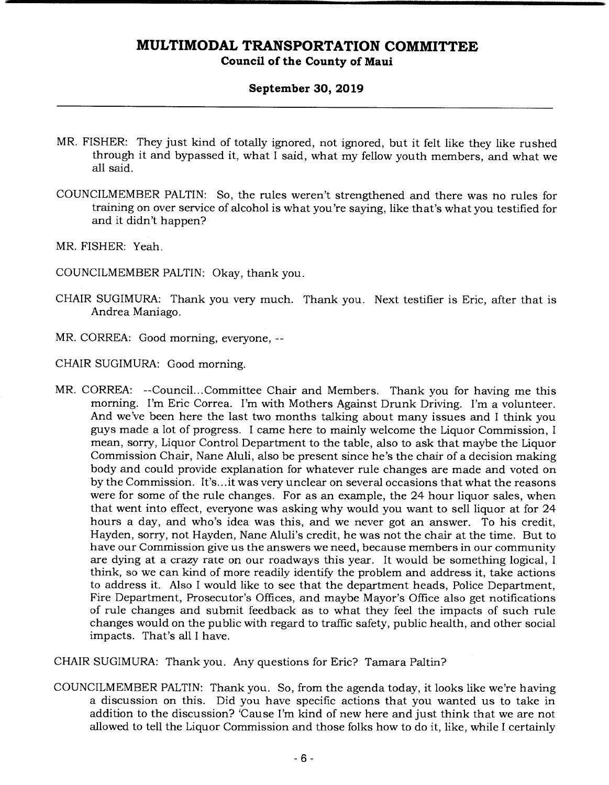#### **September 30, 2019**

- MR. FISHER: They just kind of totally ignored, not ignored, but it felt like they like rushed through it and bypassed it, what I said, what my fellow youth members, and what we all said.
- COUNCILMEMBER PALTIN: So, the rules weren't strengthened and there was no rules for training on over service of alcohol is what you're saying, like that's what you testified for and it didn't happen?
- MR. FISHER: *Yeah.*

COUNCILMEMBER PALTIN: Okay, thank you.

- CHAIR SUGIMURA: Thank you very much. Thank you. Next testifier is Eric, after that is Andrea Maniago.
- MR. CORREA: Good morning, everyone, --

CHAIR SUGIMURA: Good morning.

MR. CORREA: --Council... Committee Chair and Members. Thank you for having me this morning. I'm Eric Correa. I'm with Mothers Against Drunk Driving. I'm a volunteer. And we've been here the last two months talking about many issues and I think you guys made a lot of progress. I came here to mainly welcome the Liquor Commission, I mean, sorry, Liquor Control Department to the table, also to ask that maybe the Liquor Commission Chair, Nane Aluli, also be present since he's the chair of a decision making body and could provide explanation for whatever rule changes are made and voted on by the Commission. It's... it was very unclear on several occasions that what the reasons were for some of the rule changes. For as an example, the 24 hour liquor sales, when that went into effect, everyone was asking why would you want to sell liquor at for 24 hours a day, and who's idea was this, and we never got an answer. To his credit, Hayden, sorry, not Hayden, Nane Aluli's credit, he was not the chair at the time. But to have our Commission give us the answers we need, because members in our community are dying at a crazy rate on our roadways this year. It would be something logical, I think, so we can kind of more readily identify the problem and address it, take actions to address it. Also I would like to see that the department heads, Police Department, Fire Department, Prosecutor's Offices, and maybe Mayor's Office also get notifications of rule changes and submit feedback as to what they feel the impacts of such rule changes would on the public with regard to traffic safety, public health, and other social impacts. That's all I have.

CHAIR SUGIMURA: Thank you. Any questions for Eric? Tamara Paltin?

COUNCILMEMBER PALTIN: Thank you. So, from the agenda today, it looks like we're having a discussion on this. Did you have specific actions that you wanted us to take in addition to the discussion? 'Cause I'm kind of new here and just think that we are not allowed to tell the Liquor Commission and those folks how to do it, like, while I certainly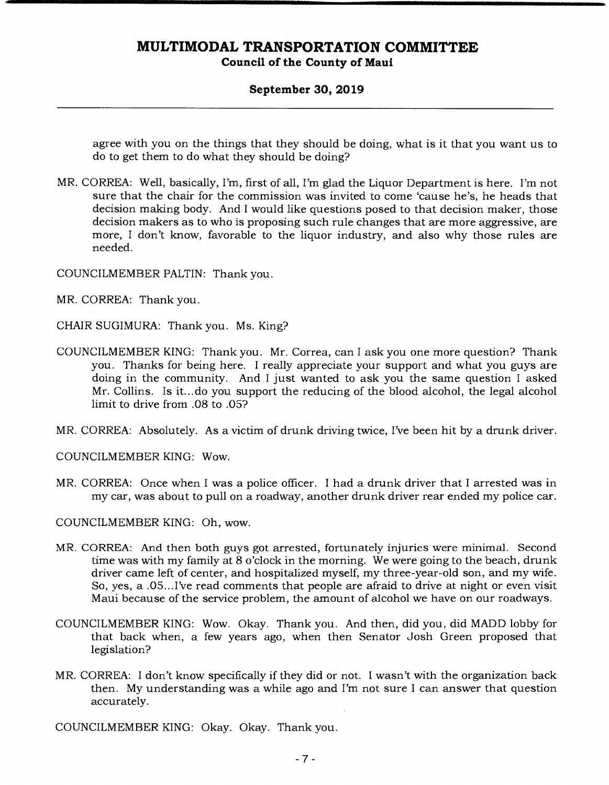#### **September 30, 2019**

agree with you on the things that they should be doing, what is it that you want us to do to get them to do what they should be doing?

MR. CORREA: Well, basically, I'm, first of all, I'm glad the Liquor Department is here. I'm not sure that the chair for the commission was invited to come 'cause he's, he heads that decision making body. And I would like questions posed to that decision maker, those decision makers as to who is proposing such rule changes that are more aggressive, are more, I don't know, favorable to the liquor industry, and also why those rules are needed.

COUNCILMEMBER PALTIN: Thank you.

MR. CORREA: Thank you.

CHAIR SUGIMURA: Thank you. Ms. King?

COUNCILMEMBER KING: Thank you. Mr. Correa, can I ask you one more question? Thank you. Thanks for being here. I really appreciate your support and what you guys are doing in the community. And I just wanted to ask you the same question I asked Mr. Collins. Is it... do you support the reducing of the blood alcohol, the legal alcohol limit to drive from .08 to .05?

MR. CORREA: Absolutely. As a victim of drunk driving twice, I've been hit by a drunk driver.

COUNCILMEMBER KING: Wow.

MR. CORREA: Once when I was a police officer. I had a drunk driver that I arrested was in my car, was about to pull on a roadway, another drunk driver rear ended my police car.

COUNCILMEMBER KING: Oh, wow.

- MR. CORREA: And then both guys got arrested, fortunately injuries were minimal. Second time was with my family at 8 o'clock in the morning. We were going to the beach, drunk driver came left of center, and hospitalized myself, my three-year-old son, and my wife. So, yes, a .05.. .I've read comments that people are afraid to drive at night or even visit Maui because of the service problem, the amount of alcohol we have on our roadways.
- COUNCILMEMBER KING: Wow. Okay. Thank you. And then, did you, did MADD lobby for that back when, a few years ago, when then Senator Josh Green proposed that legislation?
- MR. CORREA: I don't know specifically if they did or not. I wasn't with the organization back then. My understanding was a while ago and I'm not sure I can answer that question accurately.

COUNCILMEMBER KING: Okay. Okay. Thank you.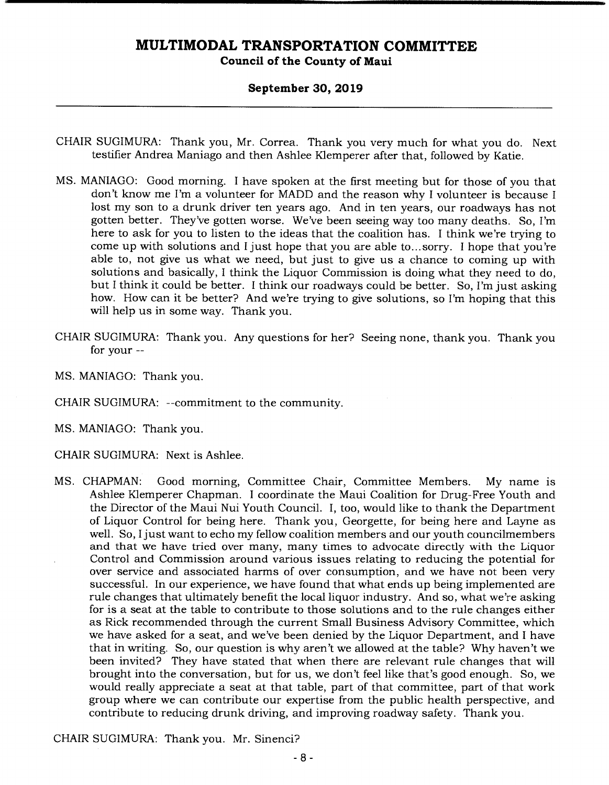#### **September 30, 2019**

- CHAIR SUGIMURA: Thank you, Mr. Correa. Thank you very much for what you do. Next testifier Andrea Maniago and then Ashlee Kiemperer after that, followed by Katie.
- MS. MANIAGO: Good morning. I have spoken at the first meeting but for those of you that don't know me I'm a volunteer for MADD and the reason why I volunteer is because I lost my son to a drunk driver ten years ago. And in ten years, our roadways has not gotten better. They've gotten worse. We've been seeing way too many deaths. So, I'm here to ask for you to listen to the ideas that the coalition has. I think we're trying to come up with solutions and I just hope that you are able to... sorry. I hope that you're able to, not give us what we need, but just to give us a chance to coming up with solutions and basically, I think the Liquor Commission is doing what they need to do, but I think it could be better. I think our roadways could be better. So, I'm just asking how. How can it be better? And we're trying to give solutions, so I'm hoping that this will help us in some way. Thank you.
- CHAIR SUGIMURA: Thank you. Any questions for her? Seeing none, thank you. Thank you for your --
- MS. MANIAGO: Thank you.
- CHAIR SUGIMURA: --commitment to the community.
- MS. MANIAGO: Thank you.
- CHAIR SUGIMURA: Next is Ashlee.
- MS. CHAPMAN: Good morning, Committee Chair, Committee Members. My name is Ashlee Klemperer Chapman. I coordinate the Maui Coalition for Drug-Free Youth and the Director of the Maui Nui Youth Council. I, too, would like to thank the Department of Liquor Control for being here. Thank you, Georgette, for being here and Layne as well. So, I just want to echo my fellow coalition members and our youth councilmembers and that we have tried over many, many times to advocate directly with the Liquor Control and Commission around various issues relating to reducing the potential for over service and associated harms of over consumption, and we have not been very successful. In our experience, we have found that what ends up being implemented are rule changes that ultimately benefit the local liquor industry. And so, what we're asking for is a seat at the table to contribute to those solutions and to the rule changes either as Rick recommended through the current Small Business Advisory Committee, which we have asked for a seat, and we've been denied by the Liquor Department, and I have that in writing. So, our question is why aren't we allowed at the table? Why haven't we been invited? They have stated that when there are relevant rule changes that will brought into the conversation, but for us, we don't feel like that's good enough. So, we would really appreciate a seat at that table, part of that committee, part of that work group where we can contribute our expertise from the public health perspective, and contribute to reducing drunk driving, and improving roadway safety. Thank you.

CHAIR SUGIMURA: Thank you. Mr. Sinenci?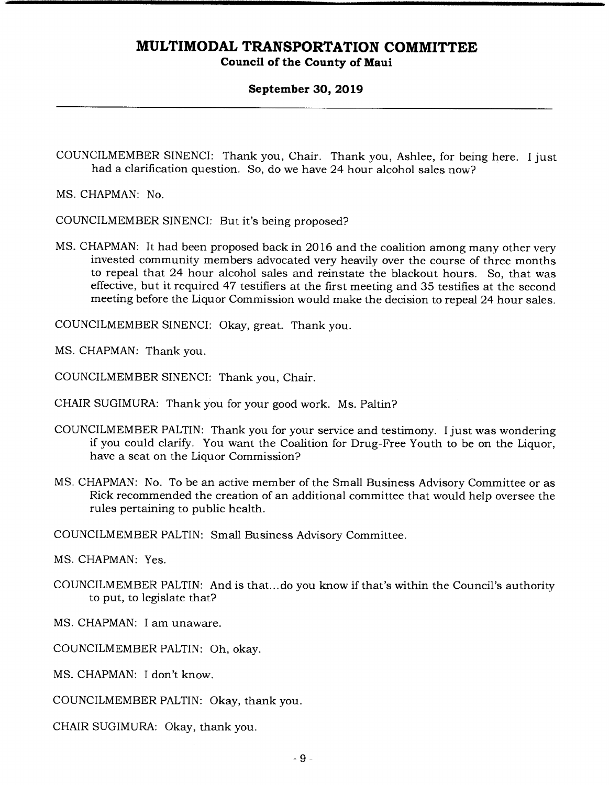#### **September 30, 2019**

COUNCILMEMBER SINENCI: Thank you, Chair. Thank you, Ashlee, for being here. I just had a clarification question. So, do we have 24 hour alcohol sales now?

MS. CHAPMAN: No.

COUNCILMEMBER SINENCI: But it's being proposed?

MS. CHAPMAN: It had been proposed back in 2016 and the coalition among many other very invested community members advocated very heavily over the course of three months to repeal that 24 hour alcohol sales and reinstate the blackout hours. So, that was effective, but it required 47 testifiers at the first meeting and 35 testifies at the second meeting before the Liquor Commission would make the decision to repeal 24 hour sales.

COUNCILMEMBER SINENCI: Okay, great. Thank you.

MS. CHAPMAN: Thank you.

COUNCILMEMBER SINENCI: Thank you, Chair.

CHAIR SUGIMURA: Thank you for your good work. Ms. Paltin?

- COUNCILMEMBER PALTIN: Thank you for your service and testimony. I just was wondering if you could clarify. You want the Coalition for Drug-Free Youth to be on the Liquor, have a seat on the Liquor Commission?
- MS. CHAPMAN: No. To be an active member of the Small Business Advisory Committee or as Rick recommended the creation of an additional committee that would help oversee the rules pertaining to public health.

COUNCILMEMBER PALTIN: Small Business Advisory Committee.

MS. CHAPMAN: Yes.

- COUNCILMEMBER PALTIN: And is that... do you know if that's within the Council's authority to put, to legislate that?
- MS. CHAPMAN: I am unaware.

COUNCILMEMBER PALTIN: Oh, okay.

- MS. CHAPMAN: I don't know.
- COUNCILMEMBER PALTIN: Okay, thank you.
- CHAIR SUGIMURA: Okay, thank you.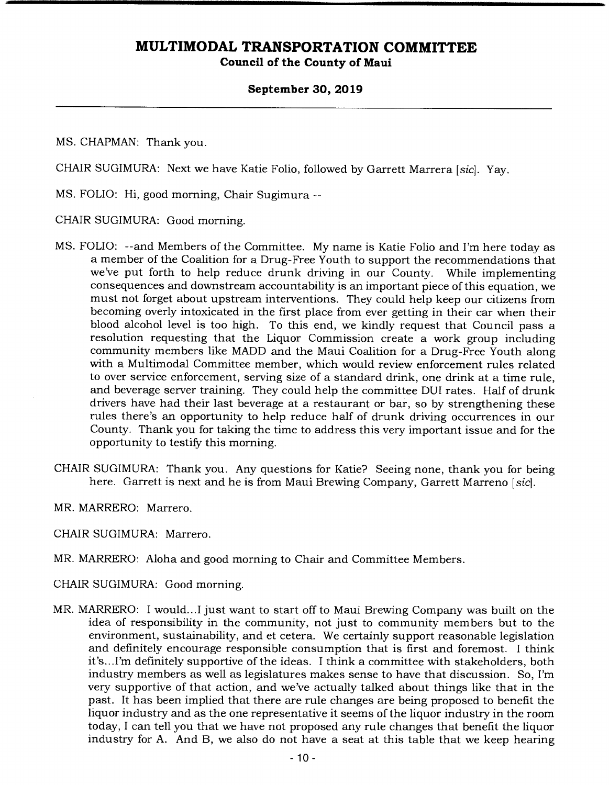#### **September 30, 2019**

MS. CHAPMAN: Thank you.

CHAIR SUGIMURA: Next we have Katie Folio, followed by Garrett Marrera *[sic].* Yay.

MS. FOLIO: Hi, good morning, Chair Sugimura --

CHAIR SUGIMURA: Good morning.

- MS. FOLIO: --and Members of the Committee. My name is Katie Folio and I'm here today as a member of the Coalition for a Drug-Free Youth to support the recommendations that we've put forth to help reduce drunk driving in our County. While implementing consequences and downstream accountability is an important piece of this equation, we must not forget about upstream interventions. They could help keep our citizens from becoming overly intoxicated in the first place from ever getting in their car when their blood alcohol level is too high. To this end, we kindly request that Council pass a resolution requesting that the Liquor Commission create a work group including community members like MADD and the Maui Coalition for a Drug-Free Youth along with a Multimodal Committee member, which would review enforcement rules related to over service enforcement, serving size of a standard drink, one drink at a time rule, and beverage server training. They could help the committee DUI rates. Half of drunk drivers have had their last beverage at a restaurant or bar, so by strengthening these rules there's an opportunity to help reduce half of drunk driving occurrences in our County. Thank you for taking the time to address this very important issue and for the opportunity to testify this morning.
- CHAIR SUGIMURA: Thank you. Any questions for Katie? Seeing none, thank you for being here. Garrett is next and he is from Maui Brewing Company, Garrett Marreno *[sic].*
- MR. MARRERO: Marrero.
- CHAIR SUGIMURA: Marrero.
- MR. MARRERO: Aloha and good morning to Chair and Committee Members.
- CHAIR SUGIMURA: Good morning.
- MR. MARRERO: I would...I just want to start off to Maui Brewing Company was built on the idea of responsibility in the community, not just to community members but to the environment, sustainability, and et cetera. We certainly support reasonable legislation and definitely encourage responsible consumption that is first and foremost. I think it's... I'm definitely supportive of the ideas. I think a committee with stakeholders, both industry members as well as legislatures makes sense to have that discussion. So, I'm very supportive of that action, and we've actually talked about things like that in the past. It has been implied that there are rule changes are being proposed to benefit the liquor industry and as the one representative it seems of the liquor industry in the room today, I can tell you that we have not proposed any rule changes that benefit the liquor industry for A. And B, we also do not have a seat at this table that we keep hearing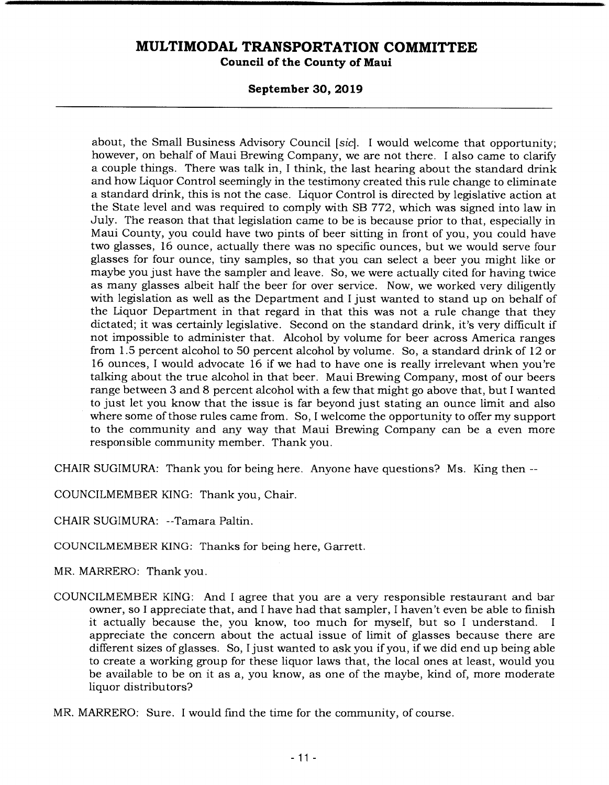#### **September 30, 2019**

about, the Small Business Advisory Council *[sic].* I would welcome that opportunity; however, on behalf of Maui Brewing Company, we are not there. I also came to clarify a couple things. There was talk in, I think, the last hearing about the standard drink and how Liquor Control seemingly in the testimony created this rule change to eliminate a standard drink, this is not the case. Liquor Control is directed by legislative action at the State level and was required to comply with SB 772, which was signed into law in July. The reason that that legislation came to be is because prior to that, especially in Maui County, you could have two pints of beer sitting in front of you, you could have two glasses, 16 ounce, actually there was no specific ounces, but we would serve four glasses for four ounce, tiny samples, so that you can select a beer you might like or maybe you just have the sampler and leave. So, we were actually cited for having twice as many glasses albeit half the beer for over service. Now, we worked very diligently with legislation as well as the Department and I just wanted to stand up on behalf of the Liquor Department in that regard in that this was not a rule change that they dictated; it was certainly legislative. Second on the standard drink, it's very difficult if not impossible to administer that. Alcohol by volume for beer across America ranges from 1.5 percent alcohol to 50 percent alcohol by volume. So, a standard drink of  $12$  or 16 ounces, I would advocate 16 if we had to have one is really irrelevant when you're talking about the true alcohol in that beer. Maui Brewing Company, most of our beers range between 3 and 8 percent alcohol with a few that might go above that, but I wanted to just let you know that the issue is far beyond just stating an ounce limit and also where some of those rules came from. So, I welcome the opportunity to offer my support to the community and any way that Maui Brewing Company can be a even more responsible community member. Thank you.

CHAIR SUGIMURA: Thank you for being here. Anyone have questions? Ms. King then --

COUNCILMEMBER KING: Thank you, Chair.

CHAIR SUGIMURA: --Tamara Paltin.

COUNCILMEMBER KING: Thanks for being here, Garrett.

MR. MARRERO: Thank you.

- COUNCILMEMBER KING: And I agree that you are a very responsible restaurant and bar owner, so I appreciate that, and I have had that sampler, I haven't even be able to finish it actually because the, you know, too much for myself, but so I understand. appreciate the concern about the actual issue of limit of glasses because there are different sizes of glasses. So, Ijust wanted to ask you if you, if we did end up being able to create a working group for these liquor laws that, the local ones at least, would you be available to be on it as a, you know, as one of the maybe, kind of, more moderate liquor distributors?
- MR. MARRERO: Sure. I would find the time for the community, of course.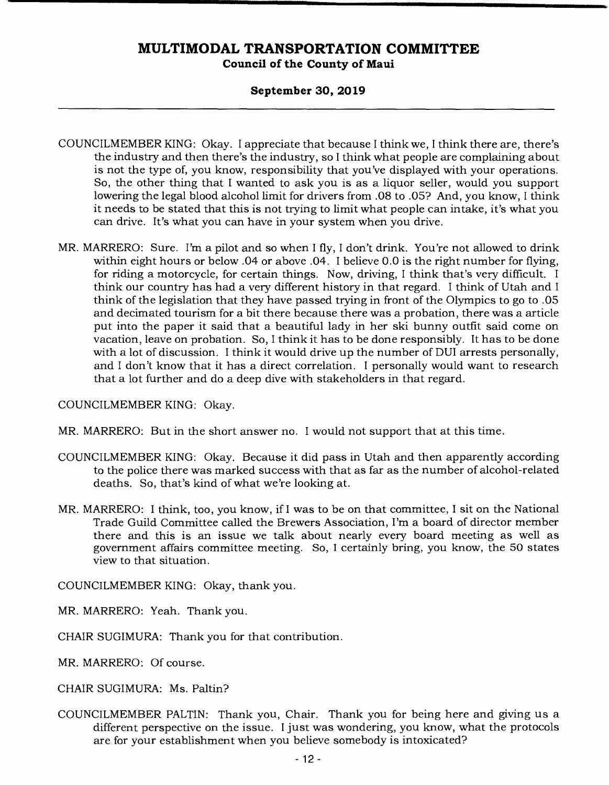#### **September 30, 2019**

- COUNCILMEMBER KING: Okay. I appreciate that because I think we, I think there are, there's the industry and then there's the industry, so I think what people are complaining about is not the type of, you know, responsibility that you've displayed with your operations. So, the other thing that I wanted to ask you is as a liquor seller, would you support lowering the legal blood alcohol limit for drivers from .08 to .05? And, you know, I think it needs to be stated that this is not trying to limit what people can intake, it's what you can drive. It's what you can have in your system when you drive.
- MR. MARRERO: Sure. I'm a pilot and so when I fly, I don't drink. You're not allowed to drink within eight hours or below .04 or above .04. I believe 0.0 is the right number for flying, for riding a motorcycle, for certain things. Now, driving, I think that's very difficult. I think our country has had a very different history in that regard. I think of Utah and I think of the legislation that they have passed trying in front of the Olympics to go to .05 and decimated tourism for a bit there because there was a probation, there was a article put into the paper it said that a beautiful lady in her ski bunny outfit said come on vacation, leave on probation. So, I think it has to be done responsibly. It has to be done with a lot of discussion. I think it would drive up the number of DUI arrests personally, and I don't know that it has a direct correlation. I personally would want to research that a lot further and do a deep dive with stakeholders in that regard.

COUNCILMEMBER KING: Okay.

MR. MARRERO: But in the short answer no. I would not support that at this time.

- COUNCILMEMBER KING: Okay. Because it did pass in Utah and then apparently according to the police there was marked success with that as far as the number of alcohol-related deaths. So, that's kind of what we're looking at.
- MR. MARRERO: I think, too, you know, if I was to be on that committee, I sit on the National Trade Guild Committee called the Brewers Association, I'm a board of director member there and this is an issue we talk about nearly every board meeting as well as government affairs committee meeting. So, I certainly bring, you know, the 50 states view to that situation.

COUNCILMEMBER KING: Okay, thank you.

MR. MARRERO: Yeah. Thank you.

CHAIR SUGIMURA: Thank you for that contribution.

MR. MARRERO: Of course.

CHAIR SUGIMURA: Ms. Paltin?

COUNCILMEMBER PALTIN: Thank you, Chair. Thank you for being here and giving us a different perspective on the issue. I just was wondering, you know, what the protocols are for your establishment when you believe somebody is intoxicated?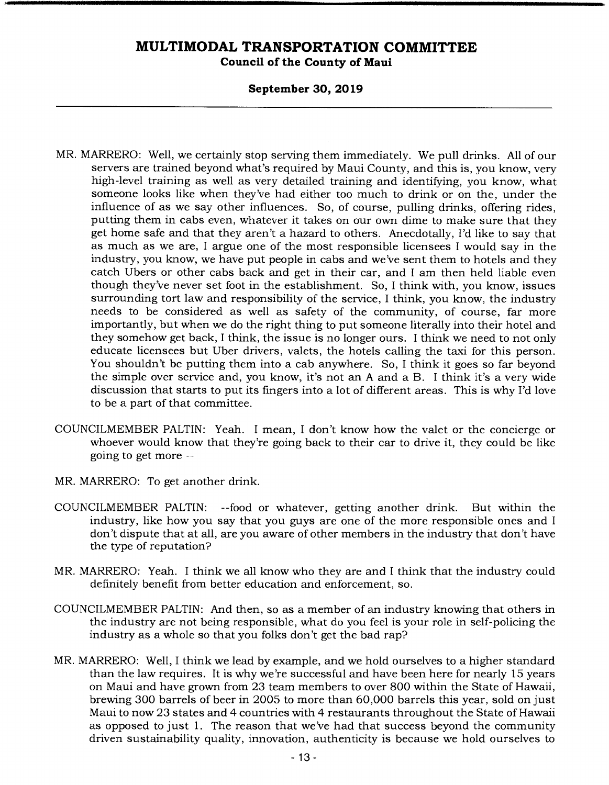#### **September 30, 2019**

- MR. MARRERO: Well, we certainly stop serving them immediately. We pull drinks. All of our servers are trained beyond what's required by Maui County, and this is, you know, very high-level training as well as very detailed training and identifying, you know, what someone looks like when they've had either too much to drink or on the, under the influence of as we say other influences. So, of course, pulling drinks, offering rides, putting them in cabs even, whatever it takes on our own dime to make sure that they get home safe and that they aren't a hazard to others. Anecdotally, I'd like to say that as much as we are, I argue one of the most responsible licensees I would say in the industry, you know, we have put people in cabs and we've sent them to hotels and they catch Ubers or other cabs back and get in their car, and I am then held liable even though they've never set foot in the establishment. So, I think with, you know, issues surrounding tort law and responsibility of the service, I think, you know, the industry needs to be considered as well as safety of the community, of course, far more importantly, but when we do the right thing to put someone literally into their hotel and they somehow get back, I think, the issue is no longer ours. I think we need to not only educate licensees but Uber drivers, valets, the hotels calling the taxi for this person. You shouldn't be putting them into a cab anywhere. So, I think it goes so far beyond the simple over service and, you know, it's not an A and a B. I think it's a very wide discussion that starts to put its fingers into a lot of different areas. This is why I'd love to be a part of that committee.
- COUNCILMEMBER PALTIN: Yeah. I mean, I don't know how the valet or the concierge or whoever would know that they're going back to their car to drive it, they could be like going to get more --
- MR. MARRERO: To get another drink.
- COUNCILMEMBER PALTIN: --food or whatever, getting another drink. But within the industry, like how you say that you guys are one of the more responsible ones and I don't dispute that at all, are you aware of other members in the industry that don't have the type of reputation?
- MR. MARRERO: Yeah. I think we all know who they are and I think that the industry could definitely benefit from better education and enforcement, so.
- COUNCILMEMBER PALTIN: And then, so as a member of an industry knowing that others in the industry are not being responsible, what do you feel is your role in self-policing the industry as a whole so that you folks don't get the bad rap?
- MR. MARRERO: Well, I think we lead by example, and we hold ourselves to a higher standard than the law requires. It is why we're successful and have been here for nearly 15 years on Maui and have grown from 23 team members to over 800 within the State of Hawaii, brewing 300 barrels of beer in 2005 to more than 60,000 barrels this year, sold on just Maui to now 23 states and 4 countries with 4 restaurants throughout the State of Hawaii as opposed to just 1. The reason that we've had that success beyond the community driven sustainability quality, innovation, authenticity is because we hold ourselves to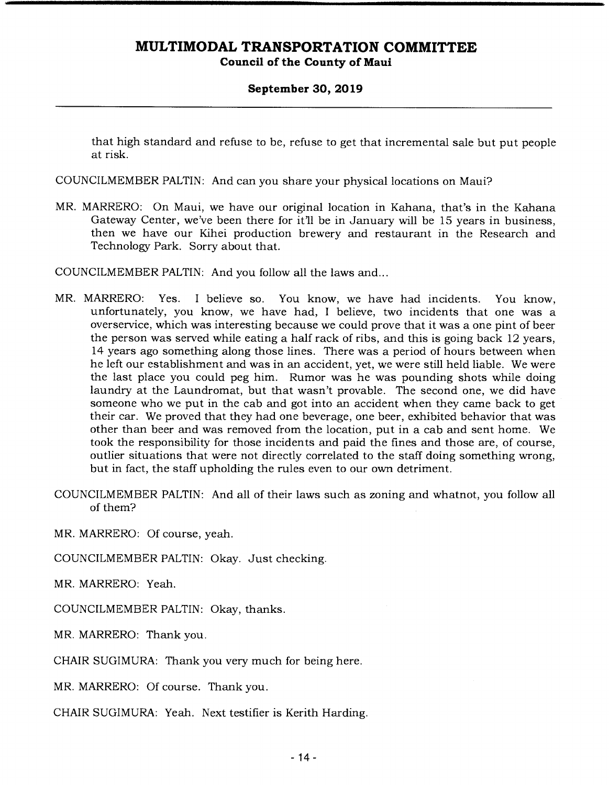#### **September 30, 2019**

that high standard and refuse to be, refuse to get that incremental sale but put people at risk.

COUNCILMEMBER PALTIN: And can you share your physical locations on Maui?

MR. MARRERO: On Maui, we have our original location in Kahana, that's in the Kahana Gateway Center, we've been there for it'll be in January will be 15 years in business, then we have our Kihei production brewery and restaurant in the Research and Technology Park. Sorry about that.

COUNCILMEMBER PALTIN: And you follow all the laws and...

- MR. MARRERO: Yes. I believe so. You know, we have had incidents. You know, unfortunately, you know, we have had, I believe, two incidents that one was a overservice, which was interesting because we could prove that it was a one pint of beer the person was served while eating a half rack of ribs, and this is going back 12 years, 14 years ago something along those lines. There was a period of hours between when he left our establishment and was in an accident, yet, we were still held liable. We were the last place you could peg him. Rumor was he was pounding shots while doing laundry at the Laundromat, but that wasn't provable. The second one, we did have someone who we put in the cab and got into an accident when they came back to get their car. We proved that they had one beverage, one beer, exhibited behavior that was other than beer and was removed from the location, put in a cab and sent home. We took the responsibility for those incidents and paid the fines and those are, of course, outlier situations that were not directly correlated to the staff doing something wrong, but in fact, the staff upholding the rules even to our own detriment.
- COUNCILMEMBER PALTIN: And all of their laws such as zoning and whatnot, you follow all of them?

MR. MARRERO: Of course, yeah.

COUNCILMEMBER PALTIN: Okay. Just checking.

MR. MARRERO: Yeah.

COUNCILMEMBER PALTIN: Okay, thanks.

MR. MARRERO: Thank you.

CHAIR SUGIMURA: Thank you very much for being here.

MR. MARRERO: Of course. Thank you.

CHAIR SUGIMURA: Yeah. Next testifier is Kerith Harding.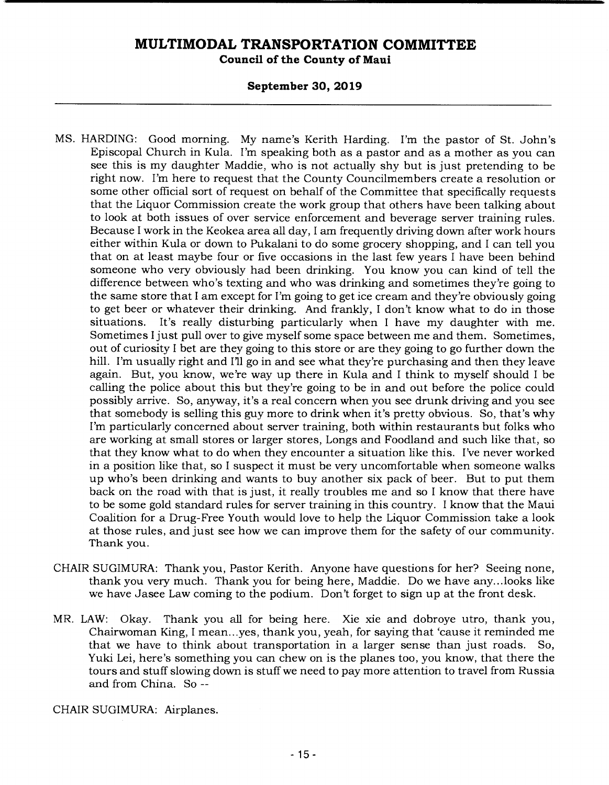**Council of the County of Maui** 

#### **September 30, 2019**

- MS. HARDING: Good morning. My name's Kerith Harding. I'm the pastor of St. John's Episcopal Church in Kula. I'm speaking both as a pastor and as a mother as you can see this is my daughter Maddie, who is not actually shy but is just pretending to be right now. I'm here to request that the County Councilmembers create a resolution or some other official sort of request on behalf of the Committee that specifically requests that the Liquor Commission create the work group that others have been talking about to look at both issues of over service enforcement and beverage server training rules. Because I work in the Keokea area all day, I am frequently driving down after work hours either within Kula or down to Pukalani to do some grocery shopping, and I can tell you that on at least maybe four or five occasions in the last few years I have been behind someone who very obviously had been drinking. You know you can kind of tell the difference between who's texting and who was drinking and sometimes they're going to the same store that I am except for I'm going to get ice cream and they're obviously going to get beer or whatever their drinking. And frankly, I don't know what to do in those situations. It's really disturbing particularly when I have my daughter with me. Sometimes I just pull over to give myself some space between me and them. Sometimes, out of curiosity I bet are they going to this store or are they going to go further down the hill. I'm usually right and I'll go in and see what they're purchasing and then they leave again. But, you know, we're way up there in Kula and I think to myself should I be calling the police about this but they're going to be in and out before the police could possibly arrive. So, anyway, it's a real concern when you see drunk driving and you see that somebody is selling this guy more to drink when it's pretty obvious. So, that's why I'm particularly concerned about server training, both within restaurants but folks who are working at small stores or larger stores, Longs and Foodland and such like that, so that they know what to do when they encounter a situation like this. I've never worked in a position like that, so I suspect it must be very uncomfortable when someone walks up who's been drinking and wants to buy another six pack of beer. But to put them back on the road with that is just, it really troubles me and so I know that there have to be some gold standard rules for server training in this country. I know that the Maui Coalition for a Drug-Free Youth would love to help the Liquor Commission take a look at those rules, and just see how we can improve them for the safety of our community. Thank you.
- CHAIR SUGIMURA: Thank you, Pastor Kerith. Anyone have questions for her? Seeing none, thank you very much. Thank you for being here, Maddie. Do we have any... looks like we have Jasee Law coming to the podium. Don't forget to sign up at the front desk.
- MR. LAW: Okay. Thank you all for being here. Xie xie and dobroye utro, thank you, Chairwoman King, I mean.. .yes, thank you, yeah, for saying that 'cause it reminded me that we have to think about transportation in a larger sense than just roads. So, Yuki Lei, here's something you can chew on is the planes too, you know, that there the tours and stuff slowing down is stuff we need to pay more attention to travel from Russia and from China. So --

CHAIR SUGIMURA: Airplanes.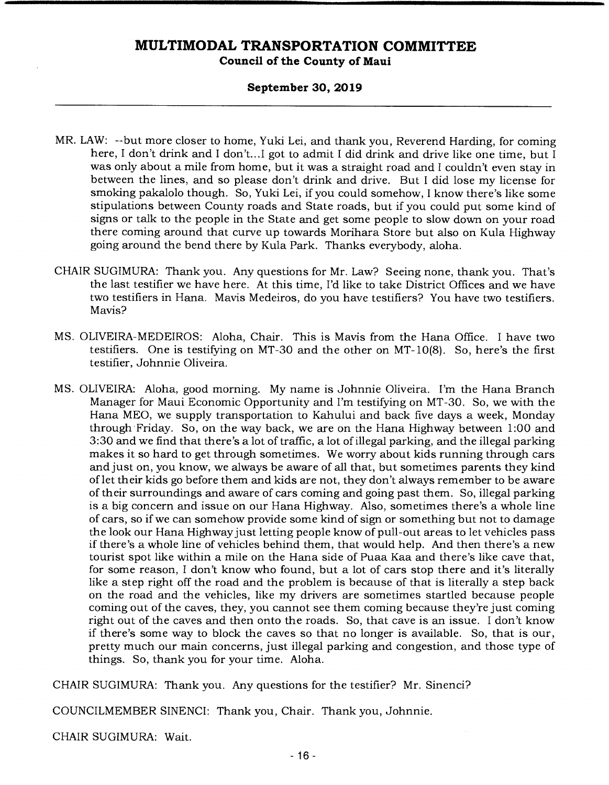#### **September 30, 2019**

- MR. LAW: --but more closer to home, Yuki Lei, and thank you, Reverend Harding, for coming here, I don't drink and I don't...I got to admit I did drink and drive like one time, but I was only about a mile from home, but it was a straight road and I couldn't even stay in between the lines, and so please don't drink and drive. But I did lose my license for smoking pakalolo though. So, Yuki Lei, if you could somehow, I know there's like some stipulations between County roads and State roads, but if you could put some kind of signs or talk to the people in the State and get some people to slow down on your road there coming around that curve up towards Morihara Store but also on Kula Highway going around the bend there by Kula Park. Thanks everybody, aloha.
- CHAIR SUGIMURA: Thank you. Any questions for Mr. Law? Seeing none, thank you. That's the last testifier we have here. At this time, I'd like to take District Offices and we have two testifiers in Hana. Mavis Medeiros, do you have testifiers? You have two testifiers. Mavis?
- MS. OLIVEIRA-MEDEIROS: Aloha, Chair. This is Mavis from the Hana Office. I have two testifiers. One is testifying on MT-30 and the other on MT- 10(8). So, here's the first testifier, Johnnie Oliveira.
- MS. OLIVEIRA: Aloha, good morning. My name is Johnnie Oliveira. I'm the Hana Branch Manager for Maui Economic Opportunity and I'm testifying on MT-30. So, we with the Hana MEO, we supply transportation to Kahului and back five days a week, Monday through Friday. So, on the way back, we are on the Hana Highway between 1:00 and 3:30 and we find that there's a lot of traffic, a lot of illegal parking, and the illegal parking makes it so hard to get through sometimes. We worry about kids running through cars and just on, you know, we always be aware of all that, but sometimes parents they kind of let their kids go before them and kids are not, they don't always remember to be aware of their surroundings and aware of cars coming and going past them. So, illegal parking is a big concern and issue on our Hana Highway. Also, sometimes there's a whole line of cars, so if we can somehow provide some kind of sign or something but not to damage the look our Hana Highway just letting people know of pull-out areas to let vehicles pass if there's a whole line of vehicles behind them, that would help. And then there's a new tourist spot like within a mile on the Hana side of Puaa Kaa and there's like cave that, for some reason, I don't know who found, but a lot of cars stop there and it's literally like a step right off the road and the problem is because of that is literally a step back on the road and the vehicles, like my drivers are sometimes startled because people coming out of the caves, they, you cannot see them coming because they're just coming right out of the caves and then onto the roads. So, that cave is an issue. I don't know if there's some way to block the caves so that no longer is available. So, that is our, pretty much our main concerns, just illegal parking and congestion, and those type of things. So, thank you for your time. Aloha.

CHAIR SUGIMURA: Thank you. Any questions for the testifier? Mr. Sinenci?

COUNCILMEMBER SINENCI: Thank you, Chair. Thank you, Johnnie.

CHAIR SUGIMURA: Wait.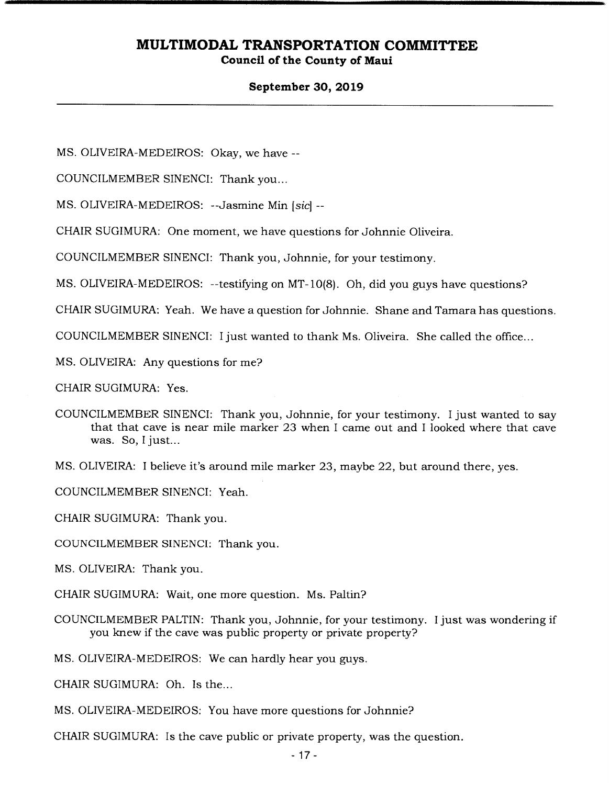#### **September 30, 2019**

MS. OLIVEIRA-MEDEIROS: Okay, we have --

COUNCILMEMBER SINENCI: Thank you...

MS. OLIVEIRA-MEDEIROS: --Jasmine Min [sic] --

CHAIR SUGIMURA: One moment, we have questions for Johnnie Oliveira.

COUNCILMEMBER SINENCI: Thank you, Johnnie, for your testimony.

MS. OLIVEIRA-MEDEIROS: --testifying on MT-1O(8). Oh, did you guys have questions?

CHAIR SUGIMURA: Yeah. We have a question for Johnnie. Shane and Tamara has questions.

COUNCILMEMBER SINENCI: I just wanted to thank Ms. Oliveira. She called the office...

MS. OLIVEIRA: Any questions for me?

CHAIR SUGIMURA: Yes.

COUNCILMEMBER SINENCI: Thank you, Johnnie, for your testimony. I just wanted to say that that cave is near mile marker 23 when I came out and I looked where that cave was. So, I just...

MS. OLIVEIRA: I believe it's around mile marker 23, maybe 22, but around there, yes.

COUNCILMEMBER SINENCI: Yeah.

CHAIR SUGIMURA: Thank you.

COUNCILMEMBER SINENCI: Thank you.

MS. OLIVEIRA: Thank you.

CHAIR SUGIMURA: Wait, one more question. Ms. Paltin?

COUNCILMEMBER PALTIN: Thank you, Johnnie, for your testimony. I just was wondering if you knew if the cave was public property or private property?

MS. OLIVEIRA-MEDEIROS: We can hardly hear you guys.

CHAIR SUGIMURA: Oh. Is the...

MS. OLIVEIRA-MEDEIROS: You have more questions for Johnnie?

CHAIR SUGIMURA: Is the cave public or private property, was the question.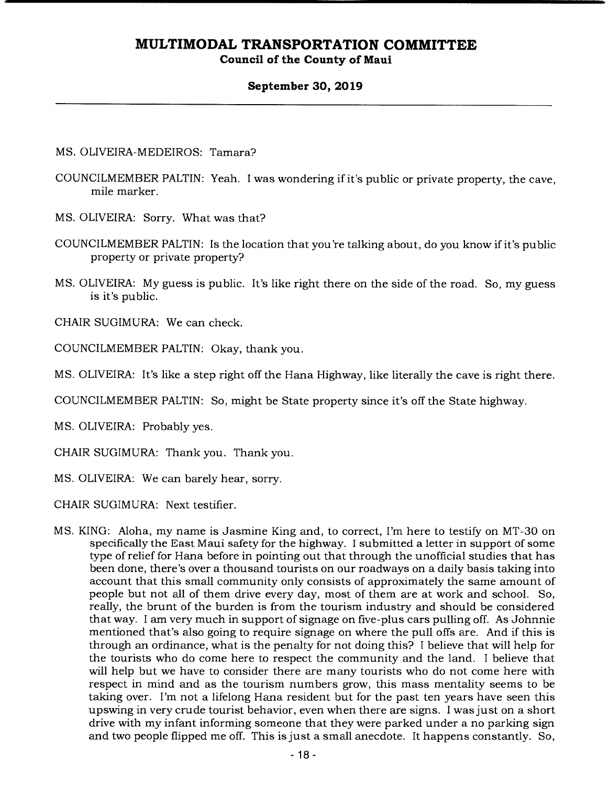#### **September 30, 2019**

#### MS. OLIVEIRA-MEDEIROS: Tamara?

- COUNCILMEMBER PALTIN: Yeah. I was wondering if it's public or private property, the cave, mile marker.
- MS. OLIVEIRA: Sorry. What was that?
- COUNCILMEMBER PALTIN: Is the location that you're talking about, do you know if it's public property or private property?
- MS. OLIVEIRA: My guess is public. It's like right there on the side of the road. So, my guess is it's public.

CHAIR SUGIMURA: We can check.

COUNCILMEMBER PALTIN: Okay, thank you.

MS. OLIVEIRA: It's like a step right off the Hana Highway, like literally the cave is right there.

COUNCILMEMBER PALTIN: So, might be State property since it's off the State highway.

MS. OLIVEIRA: Probably yes.

CHAIR SUGIMURA: Thank you. Thank you.

MS. OLIVEIRA: We can barely hear, sorry.

CHAIR SUGIMURA: Next testifier.

MS. KING: Aloha, my name is Jasmine King and, to correct, I'm here to testify on MT-30 on specifically the East Maui safety for the highway. I submitted a letter in support of some type of relief for Hana before in pointing out that through the unofficial studies that has been done, there's over a thousand tourists on our roadways on a daily basis taking into account that this small community only consists of approximately the same amount of people but not all of them drive every day, most of them are at work and school. So, really, the brunt of the burden is from the tourism industry and should be considered that way. I am very much in support of signage on five-plus cars pulling off. As Johnnie mentioned that's also going to require signage on where the pull offs are. And if this is through an ordinance, what is the penalty for not doing this? I believe that will help for the tourists who do come here to respect the community and the land. I believe that will help but we have to consider there are many tourists who do not come here with respect in mind and as the tourism numbers grow, this mass mentality seems to be taking over. I'm not a lifelong Hana resident but for the past ten years have seen this upswing in very crude tourist behavior, even when there are signs. I was just on a short drive with my infant informing someone that they were parked under a no parking sign and two people flipped me off. This is just a small anecdote. It happens constantly. So,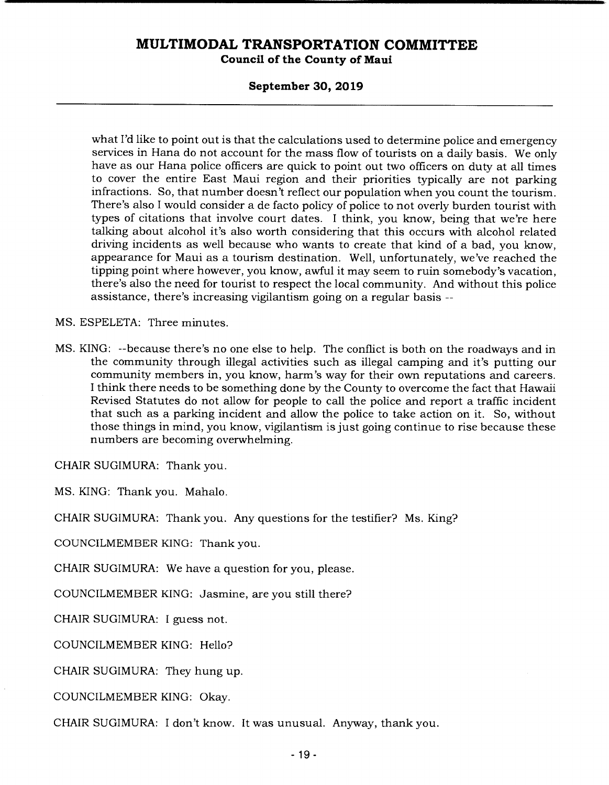#### **Council of the County of Maui**

#### **September 30, 2019**

what I'd like to point out is that the calculations used to determine police and emergency services in Hana do not account for the mass flow of tourists on a daily basis. We only have as our Hana police officers are quick to point out two officers on duty at all times to cover the entire East Maui region and their priorities typically are not parking infractions. So, that number doesn't reflect our population when you count the tourism. There's also I would consider a de facto policy of police to not overly burden tourist with types of citations that involve court dates. I think, you know, being that we're here talking about alcohol it's also worth considering that this occurs with alcohol related driving incidents as well because who wants to create that kind of a bad, you know, appearance for Maui as a tourism destination. Well, unfortunately, we've reached the tipping point where however, you know, awful it may seem to ruin somebody's vacation, there's also the need for tourist to respect the local community. And without this police assistance, there's increasing vigilantism going on a regular basis --

MS. ESPELETA: Three minutes.

MS. KING: --because there's no one else to help. The conflict is both on the roadways and in the community through illegal activities such as illegal camping and it's putting our community members in, you know, harm's way for their own reputations and careers. I think there needs to be something done by the County to overcome the fact that Hawaii Revised Statutes do not allow for people to call the police and report a traffic incident that such as a parking incident and allow the police to take action on it. So, without those things in mind, you know, vigilantism is just going continue to rise because these numbers are becoming overwhelming.

CHAIR SUGIMURA: Thank you.

MS. KING: Thank you. Mahalo.

CHAIR SUGIMURA: Thank you. Any questions for the testifier? Ms. King?

COUNCILMEMBER KING: Thank you.

CHAIR SUGIMURA: We have a question for you, please.

COUNCILMEMBER KING: Jasmine, are you still there?

CHAIR SUGIMURA: I guess not.

COUNCILMEMBER KING: Hello?

CHAIR SUGIMURA: They hung up.

COUNCILMEMBER KING: Okay.

CHAIR SUGIMURA: I don't know. It was unusual. Anyway, thank you.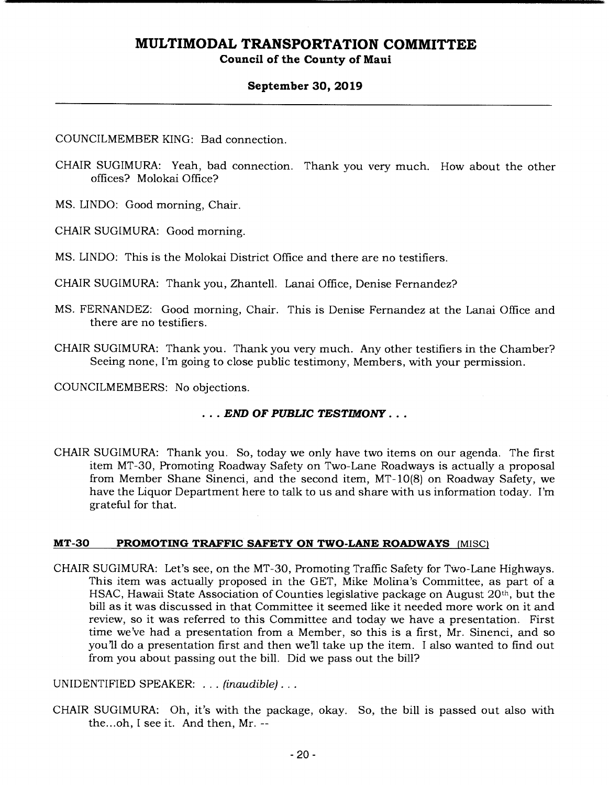#### **September 30, 2019**

COUNCILMEMBER KING: Bad connection.

CHAIR SUGIMURA: Yeah, bad connection. Thank you very much. How about the other offices? Molokai Office?

MS. UNDO: Good morning, Chair.

CHAIR SUGIMURA: Good morning.

MS. LINDO: This is the Molokai District Office and there are no testifiers.

CHAIR SUGIMURA: Thank you, Zhantell. Lanai Office, Denise Fernandez?

- MS. FERNANDEZ: Good morning, Chair. This is Denise Fernandez at the Lanai Office and there are no testifiers.
- CHAIR SUGIMURA: Thank you. Thank you very much. Any other testifiers in the Chamber? Seeing none, I'm going to close public testimony, Members, with your permission.

COUNCILMEMBERS: No objections.

#### *END OF PUBLIC TESTIMONY...*

CHAIR SUGIMURA: Thank you. So, today we only have two items on our agenda. The first item MT-30, Promoting Roadway Safety on Two-Lane Roadways is actually a proposal from Member Shane Sinenci, and the second item, MT-10(8) on Roadway Safety, we have the Liquor Department here to talk to us and share with us information today. I'm grateful for that.

#### **MT-30 PROMOTING TRAFFIC SAFETY ON TWO-LANE ROADWAYS (MISC)**

CHAIR SUGIMURA: Let's see, on the MT-30, Promoting Traffic Safety for Two-Lane Highways. This item was actually proposed in the GET, Mike Molina's Committee, as part of a HSAC, Hawaii State Association of Counties legislative package on August 20th, but the bill as it was discussed in that Committee it seemed like it needed more work on it and review, so it was referred to this Committee and today we have a presentation. First time we've had a presentation from a Member, so this is a first, Mr. Sinenci, and so you'll do a presentation first and then well take up the item. I also wanted to find out from you about passing out the bill. Did we pass out the bill?

UNIDENTIFIED SPEAKER: . . . *(inaudible)...* 

CHAIR SUGIMURA: Oh, it's with the package, okay. So, the bill is passed out also with the.. .oh, I see it. And then, Mr. --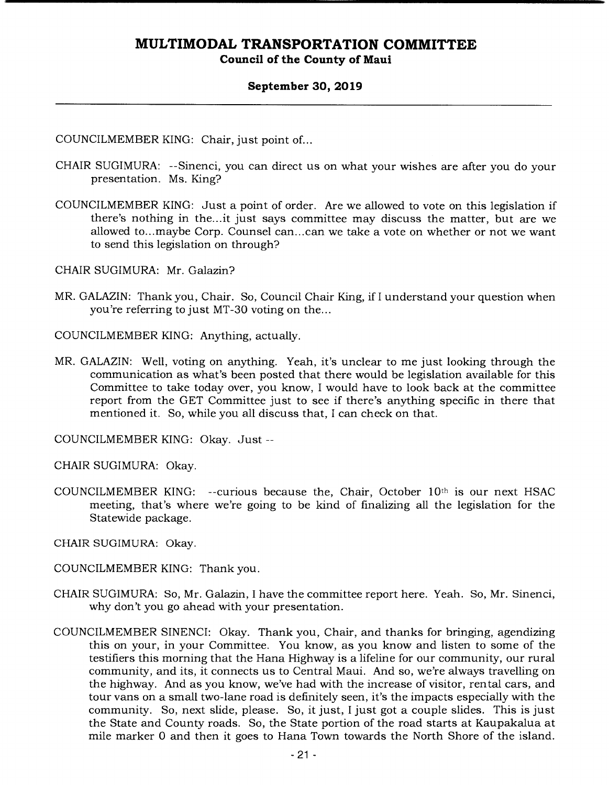#### **September 30, 2019**

COUNCILMEMBER KING: Chair, just point of...

- CHAIR SUGIMURA: --Sinenci, you can direct us on what your wishes are after you do your presentation. Ms. King?
- COUNCILMEMBER KING: Just a point of order. Are we allowed to vote on this legislation if there's nothing in the... it just says committee may discuss the matter, but are we allowed to...maybe Corp. Counsel can... can we take a vote on whether or not we want to send this legislation on through?

CHAIR SUGIMURA: Mr. Galazin?

MR. GALAZIN: Thank you, Chair. So, Council Chair King, if I understand your question when you're referring to just MT-30 voting on the...

COUNCILMEMBER KING: Anything, actually.

MR. GALAZIN: Well, voting on anything. Yeah, it's unclear to me just looking through the communication as what's been posted that there would be legislation available for this Committee to take today over, you know, I would have to look back at the committee report from the GET Committee just to see if there's anything specific in there that mentioned it. So, while you all discuss that, I can check on that.

COUNCILMEMBER KING: Okay. Just --

CHAIR SUGIMURA: Okay.

COUNCILMEMBER KING: --curious because the, Chair, October 10th is our next HSAC meeting, that's where we're going to be kind of finalizing all the legislation for the Statewide package.

CHAIR SUGIMURA: Okay.

- COUNCILMEMBER KING: Thank you.
- CHAIR SUGIMURA: So, Mr. Galazin, I have the committee report here. Yeah. So, Mr. Sinenci, why don't you go ahead with your presentation.
- COUNCILMEMBER SINENCI: Okay. Thank you, Chair, and thanks for bringing, agendizing this on your, in your Committee. You know, as you know and listen to some of the testifiers this morning that the Hana Highway is a lifeline for our community, our rural community, and its, it connects us to Central Maui. And so, we're always travelling on the highway. And as you know, we've had with the increase of visitor, rental cars, and tour vans on a small two-lane road is definitely seen, it's the impacts especially with the community. So, next slide, please. So, it just, I just got a couple slides. This is just the State and County roads. So, the State portion of the road starts at Kaupakalua at mile marker 0 and then it goes to Hana Town towards the North Shore of the island.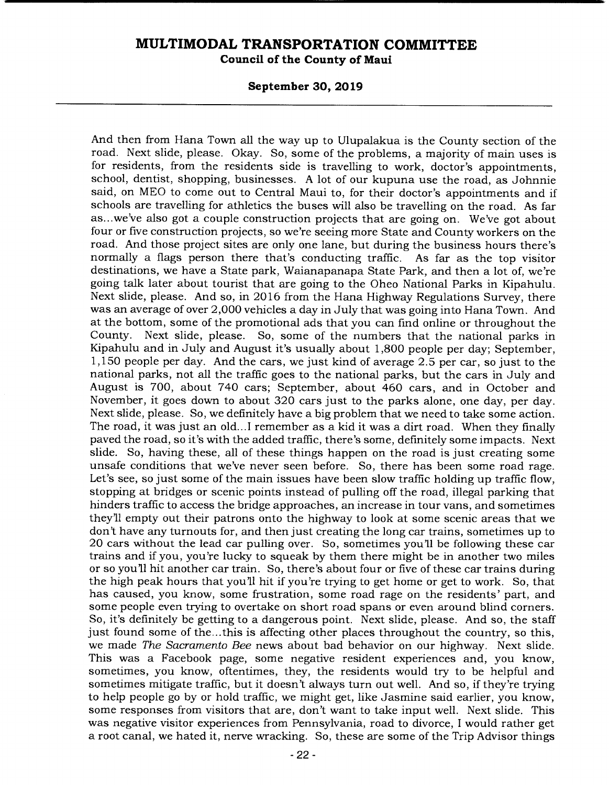**Council of the County of Maui** 

#### **September 30, 2019**

And then from Hana Town all the way up to Ulupalakua is the County section of the road. Next slide, please. Okay. So, some of the problems, a majority of main uses is for residents, from the residents side is travelling to work, doctor's appointments, school, dentist, shopping, businesses. A lot of our kupuna use the road, as Johnnie said, on MEO to come out to Central Maui to, for their doctor's appointments and if schools are travelling for athletics the buses will also be travelling on the road. As far as.. .we've also got a couple construction projects that are going on. We've got about four or five construction projects, so we're seeing more State and County workers on the road. And those project sites are only one lane, but during the business hours there's normally a flags person there that's conducting traffic. As far as the top visitor destinations, we have a State park, Waianapanapa State Park, and then a lot of, we're going talk later about tourist that are going to the Oheo National Parks in Kipahulu. Next slide, please. And so, in 2016 from the Hana Highway Regulations Survey, there was an average of over 2,000 vehicles a day in July that was going into Hana Town. And at the bottom, some of the promotional ads that you can find online or throughout the County. Next slide, please. So, some of the numbers that the national parks in Kipahulu and in July and August it's usually about 1,800 people per day; September, 1,150 people per day. And the cars, we just kind of average 2.5 per car, so just to the national parks, not all the traffic goes to the national parks, but the cars in July and August is 700, about 740 cars; September, about 460 cars, and in October and November, it goes down to about 320 cars just to the parks alone, one day, per day. Next slide, please. So, we definitely have a big problem that we need to take some action. The road, it was just an old...I remember as a kid it was a dirt road. When they finally paved the road, so it's with the added traffic, there's some, definitely some impacts. Next slide. So, having these, all of these things happen on the road is just creating some unsafe conditions that we've never seen before. So, there has been some road rage. Let's see, so just some of the main issues have been slow traffic holding up traffic flow, stopping at bridges or scenic points instead of pulling off the road, illegal parking that hinders traffic to access the bridge approaches, an increase in tour vans, and sometimes they'll empty out their patrons onto the highway to look at some scenic areas that we don't have any turnouts for, and then just creating the long car trains, sometimes up to 20 cars without the lead car pulling over. So, sometimes you'll be following these car trains and if you, you're lucky to squeak by them there might be in another two miles or so you'll hit another car train. So, there's about four or five of these car trains during the high peak hours that you'll hit if you're trying to get home or get to work. So, that has caused, you know, some frustration, some road rage on the residents' part, and some people even trying to overtake on short road spans or even around blind corners. So, it's definitely be getting to a dangerous point. Next slide, please. And so, the staff just found some of the... this is affecting other places throughout the country, so this, we made *The Sacramento Bee* news about bad behavior on our highway. Next slide. This was a Facebook page, some negative resident experiences and, you know, sometimes, you know, oftentimes, they, the residents would try to be helpful and sometimes mitigate traffic, but it doesn't always turn out well. And so, if they're trying to help people go by or hold traffic, we might get, like Jasmine said earlier, you know, some responses from visitors that are, don't want to take input well. Next slide. This was negative visitor experiences from Pennsylvania, road to divorce, I would rather get a root canal, we hated it, nerve wracking. So, these are some of the Trip Advisor things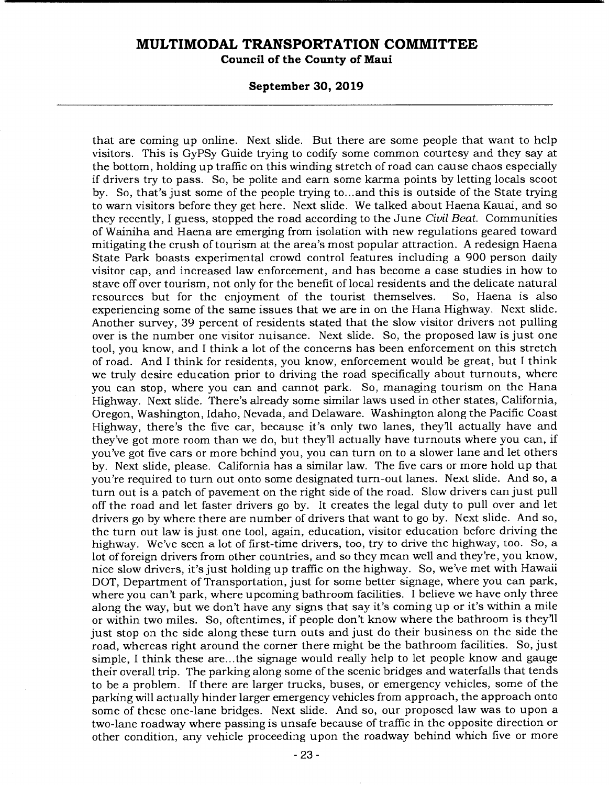**Council of the County of Maui** 

#### **September 30, 2019**

that are coming up online. Next slide. But there are some people that want to help visitors. This is GyPSy Guide trying to codify some common courtesy and they say at the bottom, holding up traffic on this winding stretch of road can cause chaos especially if drivers try to pass. So, be polite and earn some karma points by letting locals scoot by. So, that's just some of the people trying to... and this is outside of the State trying to warn visitors before they get here. Next slide. We talked about Haena Kauai, and so they recently, I guess, stopped the road according to the June *Civil Beat.* Communities of Wainiha and Haena are emerging from isolation with new regulations geared toward mitigating the crush of tourism at the area's most popular attraction. A redesign Haena State Park boasts experimental crowd control features including a 900 person daily visitor cap, and increased law enforcement, and has become a case studies in how to stave off over tourism, not only for the benefit of local residents and the delicate natural resources but for the enjoyment of the tourist themselves. So, Haena is also experiencing some of the same issues that we are in on the Hana Highway. Next slide. Another survey, 39 percent of residents stated that the slow visitor drivers not pulling over is the number one visitor nuisance. Next slide. So, the proposed law is just one tool, you know, and I think a lot of the concerns has been enforcement on this stretch of road. And I think for residents, you know, enforcement would be great, but I think we truly desire education prior to driving the road specifically about turnouts, where you can stop, where you can and cannot park. So, managing tourism on the Hana Highway. Next slide. There's already some similar laws used in other states, California, Oregon, Washington, Idaho, Nevada, and Delaware. Washington along the Pacific Coast Highway, there's the five car, because it's only two lanes, they'll actually have and they've got more room than we do, but they'll actually have turnouts where you can, if you've got five cars or more behind you, you can turn on to a slower lane and let others by. Next slide, please. California has a similar law. The five cars or more hold up that you're required to turn out onto some designated turn-out lanes. Next slide. And so, a turn out is a patch of pavement on the right side of the road. Slow drivers can just pull off the road and let faster drivers go by. It creates the legal duty to pull over and let drivers go by where there are number of drivers that want to go by. Next slide. And so, the turn out law is just one tool, again, education, visitor education before driving the highway. We've seen a lot of first-time drivers, too, try to drive the highway, too. So, a lot of foreign drivers from other countries, and so they mean well and they're, you know, nice slow drivers, it's just holding up traffic on the highway. So, we've met with Hawaii DOT, Department of Transportation, just for some better signage, where you can park, where you can't park, where upcoming bathroom facilities. I believe we have only three along the way, but we don't have any signs that say it's coming up or it's within a mile or within two miles. So, oftentimes, if people don't know where the bathroom is they'll just stop on the side along these turn outs and just do their business on the side the road, whereas right around the corner there might be the bathroom facilities. So, just simple, I think these are... the signage would really help to let people know and gauge their overall trip. The parking along some of the scenic bridges and waterfalls that tends to be a problem. If there are larger trucks, buses, or emergency vehicles, some of the parking will actually hinder larger emergency vehicles from approach, the approach onto some of these one-lane bridges. Next slide. And so, our proposed law was to upon a two-lane roadway where passing is unsafe because of traffic in the opposite direction or other condition, any vehicle proceeding upon the roadway behind which five or more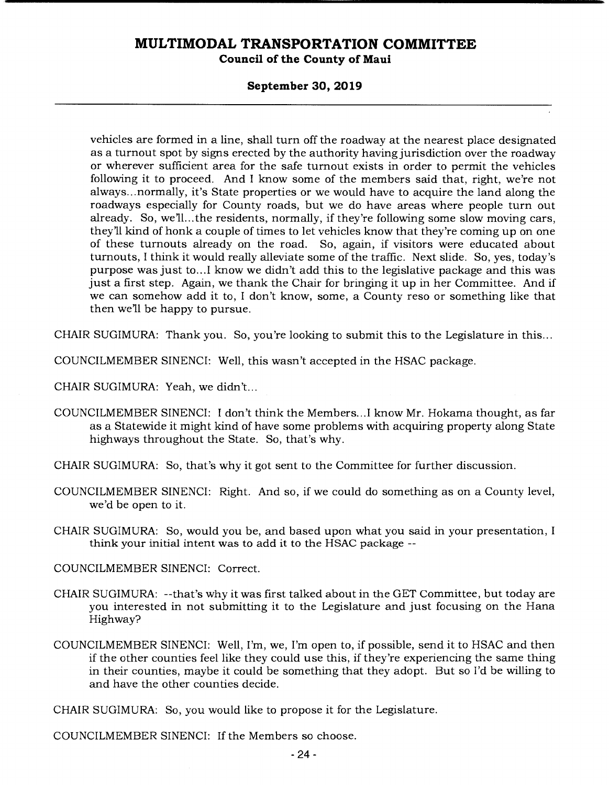#### **Council of the County of Maui**

#### **September 30, 2019**

vehicles are formed in a line, shall turn off the roadway at the nearest place designated as a turnout spot by signs erected by the authority having jurisdiction over the roadway or wherever sufficient area for the safe turnout exists in order to permit the vehicles following it to proceed. And I know some of the members said that, right, we're not always... normally, it's State properties or we would have to acquire the land along the roadways especially for County roads, but we do have areas where people turn out already. So, we'll.. .the residents, normally, if they're following some slow moving cars, they'll kind of honk a couple of times to let vehicles know that they're coming up on one of these turnouts already on the road. So, again, if visitors were educated about turnouts, I think it would really alleviate some of the traffic. Next slide. So, yes, today's purpose was just to... I know we didn't add this to the legislative package and this was just a first step. Again, we thank the Chair for bringing it up in her Committee. And if we can somehow add it to, I don't know, some, a County reso or something like that then well be happy to pursue.

CHAIR SUGIMURA: Thank you. So, you're looking to submit this to the Legislature in this...

COUNCILMEMBER SINENCI: Well, this wasn't accepted in the HSAC package.

CHAIR SUGIMURA: Yeah, we didn't...

COUNCILMEMBER SINENCI: I don't think the Members... I know Mr. Hokama thought, as far as a Statewide it might kind of have some problems with acquiring property along State highways throughout the State. So, that's why.

CHAIR SUGIMURA: So, that's why it got sent to the Committee for further discussion.

COUNCILMEMBER SINENCI: Right. And so, if we could do something as on a County level, we'd be open to it.

CHAIR SUGIMURA: So, would you be, and based upon what you said in your presentation, I think your initial intent was to add it to the HSAC package --

COUNCILMEMBER SINENCI: Correct.

- CHAIR SUGIMURA: --that's why it was first talked about in the GET Committee, but today are you interested in not submitting it to the Legislature and just focusing on the Hana Highway?
- COUNCILMEMBER SINENCI: Well, I'm, we, I'm open to, if possible, send it to HSAC and then if the other counties feel like they could use this, if they're experiencing the same thing in their counties, maybe it could be something that they adopt. But so I'd be willing to and have the other counties decide.

CHAIR SUGIMURA: So, you would like to propose it for the Legislature.

COUNCILMEMBER SINENCI: If the Members so choose.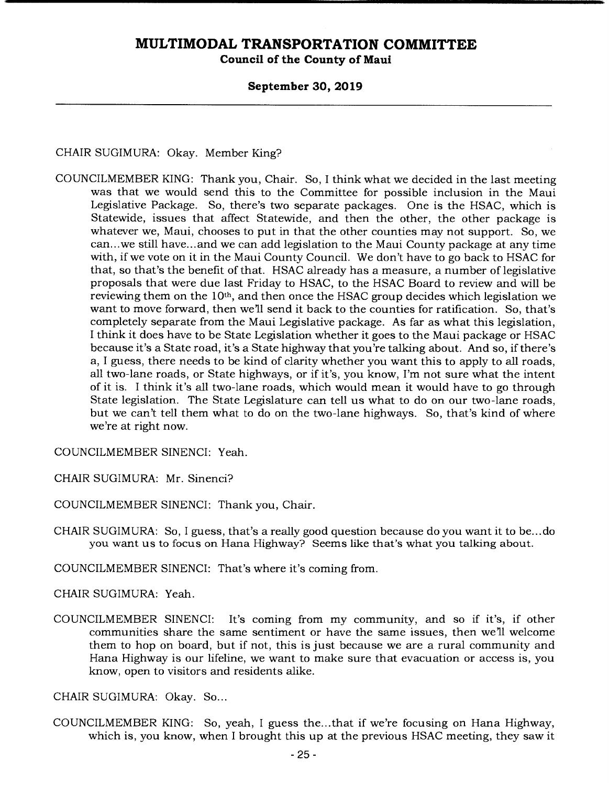## **Council of the County of Maui**

#### **September 30, 2019**

CHAIR SUGIMURA: Okay. Member King?

COUNCILMEMBER KING: Thank you, Chair. So, I think what we decided in the last meeting was that we would send this to the Committee for possible inclusion in the Maui Legislative Package. So, there's two separate packages. One is the HSAC, which is Statewide, issues that affect Statewide, and then the other, the other package is whatever we, Maui, chooses to put in that the other counties may not support. So, we can... we still have.., and we can add legislation to the Maui County package at any time with, if we vote on it in the Maui County Council. We don't have to go back to HSAC for that, so that's the benefit of that. HSAC already has a measure, a number of legislative proposals that were due last Friday to HSAC, to the HSAC Board to review and will be reviewing them on the 10<sup>th</sup>, and then once the HSAC group decides which legislation we want to move forward, then well send it back to the counties for ratification. So, that's completely separate from the Maui Legislative package. As far as what this legislation, I think it does have to be State Legislation whether it goes to the Maui package or HSAC because it's a State road, it's a State highway that you're talking about. And so, if there's a, I guess, there needs to be kind of clarity whether you want this to apply to all roads, all two-lane roads, or State highways, or if it's, you know, I'm not sure what the intent of it is. I think it's all two-lane roads, which would mean it would have to go through State legislation. The State Legislature can tell us what to do on our two-lane roads, but we can't tell them what to do on the two-lane highways. So, that's kind of where we're at right now.

COUNCILMEMBER SINENCI: Yeah.

CHAIR SUGIMURA: Mr. Sinenci?

COUNCILMEMBER SINENCI: Thank you, Chair.

CHAIR SUGIMURA: So, I guess, that's a really good question because do you want it to be... do you want us to focus on Hana Highway? Seems like that's what you talking about.

COUNCILMEMBER SINENCI: That's where it's coming from.

CHAIR SUGIMURA: Yeah.

COUNCILMEMBER SINENCI: It's coming from my community, and so if it's, if other communities share the same sentiment or have the same issues, then well welcome them to hop on board, but if not, this is just because we are a rural community and Hana Highway is our lifeline, we want to make sure that evacuation or access is, you know, open to visitors and residents alike.

CHAIR SUGIMURA: Okay. So...

COUNCILMEMBER KING: So, yeah, I guess the... that if we're focusing on Hana Highway, which is, you know, when I brought this up at the previous HSAC meeting, they saw it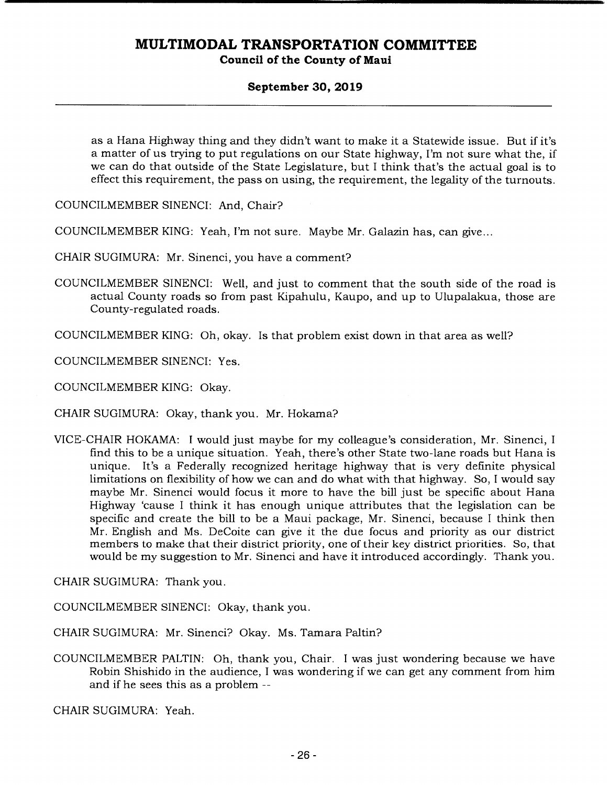### **Council of the County of Maui**

#### **September 30, 2019**

as a Hana Highway thing and they didn't want to make it a Statewide issue. But if it's a matter of us trying to put regulations on our State highway, I'm not sure what the, if we can do that outside of the State Legislature, but I think that's the actual goal is to effect this requirement, the pass on using, the requirement, the legality of the turnouts.

COUNCILMEMBER SINENCI: And, Chair?

COUNCILMEMBER KING: Yeah, I'm not sure. Maybe Mr. Galazin has, can give...

CHAIR SUGIMURA: Mr. Sinenci, you have a comment?

COUNCILMEMBER SINENCI: Well, and just to comment that the south side of the road is actual County roads so from past Kipahulu, Kaupo, and up to Ulupalakua, those are County-regulated roads.

COUNCILMEMBER KING: Oh, okay. Is that problem exist down in that area as well?

COUNCILMEMBER SINENCI: Yes.

COUNCILMEMBER KING: Okay.

CHAIR SUGIMURA: Okay, thank you. Mr. Hokama?

VICE-CHAIR HOKAMA: I would just maybe for my colleague's consideration, Mr. Sinenci, I find this to be a unique situation. Yeah, there's other State two-lane roads but Hana is unique. It's a Federally recognized heritage highway that is very definite physical limitations on flexibility of how we can and do what with that highway. So, I would say maybe Mr. Sinenci would focus it more to have the bill just be specific about Hana Highway 'cause I think it has enough unique attributes that the legislation can be specific and create the bill to be a Maui package, Mr. Sinenci, because I think then Mr. English and Ms. DeCoite can give it the due focus and priority as our district members to make that their district priority, one of their key district priorities. So, that would be my suggestion to Mr. Sinenci and have it introduced accordingly. Thank you.

CHAIR SUGIMURA: Thank you.

COUNCILMEMBER SINENCI: Okay, thank you.

CHAIR SUGIMURA: Mr. Sinenci? Okay. Ms. Tamara Paltin?

COUNCILMEMBER PALTIN: Oh, thank you, Chair. I was just wondering because we have Robin Shishido in the audience, I was wondering if we can get any comment from him and if he sees this as a problem --

CHAIR SUGIMURA: Yeah.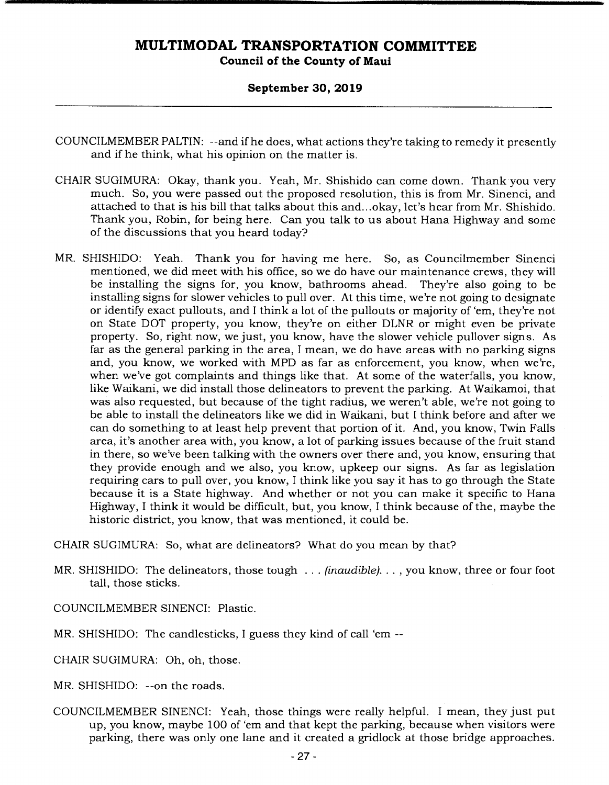#### **September 30, 2019**

- COUNCILMEMBER PALTIN: --and if he does, what actions they're taking to remedy it presently and if he think, what his opinion on the matter is.
- CHAIR SUGIMURA: Okay, thank you. Yeah, Mr. Shishido can come down. Thank you very much. So, you were passed out the proposed resolution, this is from Mr. Sinenci, and attached to that is his bill that talks about this and... okay, let's hear from Mr. Shishido. Thank you, Robin, for being here. Can you talk to us about Hana Highway and some of the discussions that you heard today?
- MR. SHISHIDO: Yeah. Thank you for having me here. So, as Councilmember Sinenci mentioned, we did meet with his office, so we do have our maintenance crews, they will be installing the signs for, you know, bathrooms ahead. They're also going to be installing signs for slower vehicles to pull over. At this time, we're not going to designate or identify exact pullouts, and I think a lot of the pullouts or majority of 'em, they're not on State DOT property, you know, they're on either DLNR or might even be private property. So, right now, we just, you know, have the slower vehicle pullover signs. As far as the general parking in the area, I mean, we do have areas with no parking signs and, you know, we worked with MPD as far as enforcement, you know, when we're, when we've got complaints and things like that. At some of the waterfalls, you know, like Waikani, we did install those delineators to prevent the parking. At Waikamoi, that was also requested, but because of the tight radius, we weren't able, we're not going to be able to install the delineators like we did in Waikani, but I think before and after we can do something to at least help prevent that portion of it. And, you know, Twin Falls area, it's another area with, you know, a lot of parking issues because of the fruit stand in there, so we've been talking with the owners over there and, you know, ensuring that they provide enough and we also, you know, upkeep our signs. As far as legislation requiring cars to pull over, you know, I think like you say it has to go through the State because it is a State highway. And whether or not you can make it specific to Hana Highway, I think it would be difficult, but, you know, I think because of the, maybe the historic district, you know, that was mentioned, it could be.

CHAIR SUGIMURA: So, what are delineators? What do you mean by that?

- MR. SHISHIDO: The delineators, those tough ... *(inaudible). . . , you* know, three or four foot tall, those sticks.
- COUNCILMEMBER SINENCI: Plastic.
- MR. SHISHIDO: The candlesticks, I guess they kind of call 'em --
- CHAIR SUGIMURA: Oh, oh, those.
- MR. SHISHIDO: --on the roads.
- COUNCILMEMBER SINENCI: Yeah, those things were really helpful. I mean, they just put up, you know, maybe 100 of 'em and that kept the parking, because when visitors were parking, there was only one lane and it created a gridlock at those bridge approaches.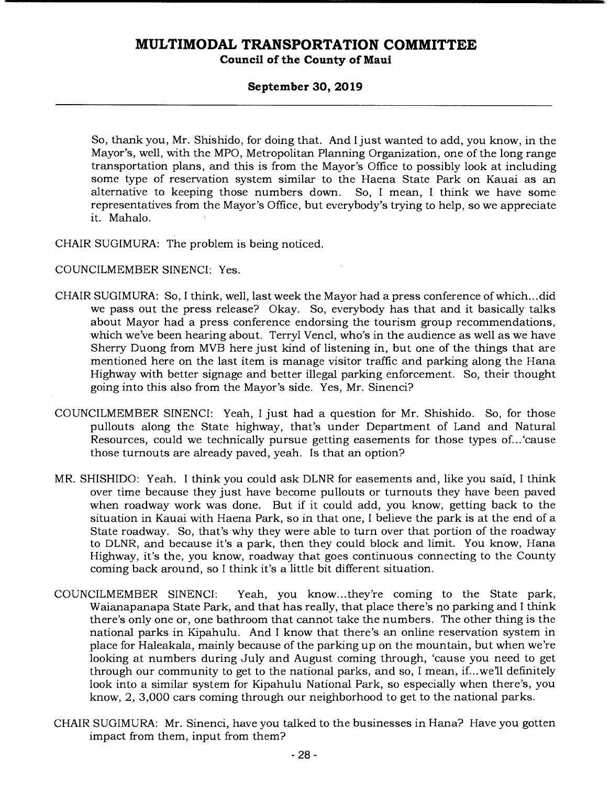#### **Council of the County of Maui**

#### **September 30, 2019**

So, thank you, Mr. Shishido, for doing that. And I just wanted to add, you know, in the Mayor's, well, with the MPO, Metropolitan Planning Organization, one of the long range transportation plans, and this is from the Mayor's Office to possibly look at including some type of reservation system similar to the Haena State Park on Kauai as an alternative to keeping those numbers down. So, I mean, I think we have some representatives from the Mayor's Office, but everybody's trying to help, so we appreciate it. Mahalo.

CHAIR SUGIMURA: The problem is being noticed.

- COUNCILMEMBER SINENCI: Yes.
- CHAIR SUGIMURA: So, I think, well, last week the Mayor had a press conference of which.. .did we pass out the press release? Okay. So, everybody has that and it basically talks about Mayor had a press conference endorsing the tourism group recommendations, which we've been hearing about. Terryl Vencl, who's in the audience as well as we have Sherry Duong from MVB here just kind of listening in, but one of the things that are mentioned here on the last item is manage visitor traffic and parking along the Hana Highway with better signage and better illegal parking enforcement. So, their thought going into this also from the Mayor's side. Yes, Mr. Sinenci?
- COUNCILMEMBER SINENCI: Yeah, I just had a question for Mr. Shishido. So, for those pullouts along the State highway, that's under Department of Land and Natural Resources, could we technically pursue getting easements for those types of... 'cause those turnouts are already paved, yeah. Is that an option?
- MR. SHISHIDO: Yeah. I think you could ask DLNR for easements and, like you said, I think over time because they just have become pullouts or turnouts they have been paved when roadway work was done. But if it could add, you know, getting back to the situation in Kauai with Haena Park, so in that one, I believe the park is at the end of a State roadway. So, that's why they were able to turn over that portion of the roadway to DLNR, and because it's a park, then they could block and limit. You know, Hana Highway, it's the, you know, roadway that goes continuous connecting to the County coming back around, so I think it's a little bit different situation.
- COUNCILMEMBER SINENCI: Yeah, you know.. .they're coming to the State park, Waianapanapa State Park, and that has really, that place there's no parking and I think there's only one or, one bathroom that cannot take the numbers. The other thing is the national parks in Kipahulu. And I know that there's an online reservation system in place for Haleakala, mainly because of the parking up on the mountain, but when we're looking at numbers during July and August coming through, 'cause you need to get through our community to get to the national parks, and so, I mean, if...we'll definitely look into a similar system for Kipahulu National Park, so especially when there's, you know, 2, 3,000 cars coming through our neighborhood to get to the national parks.
- CHAIR SUGIMURA: Mr. Sinenci, have you talked to the businesses in Hana? Have you gotten impact from them, input from them?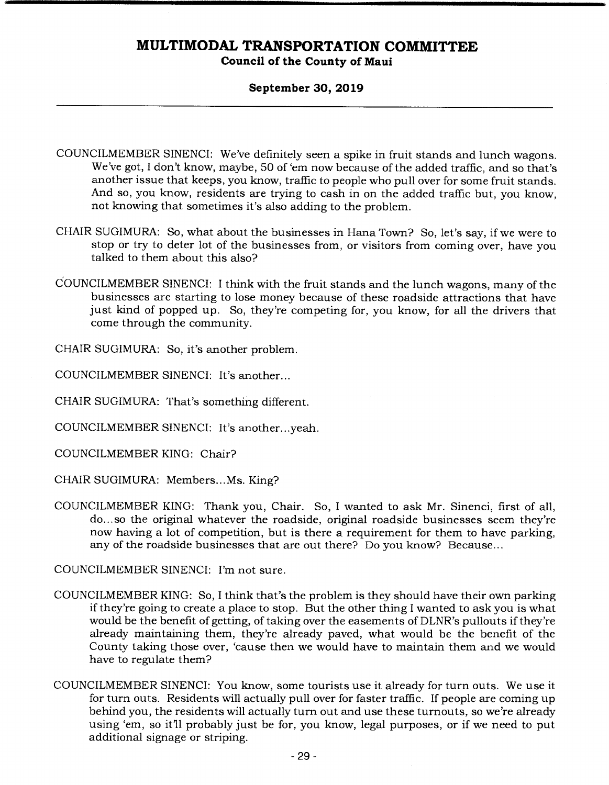#### **September 30, 2019**

- COUNCILMEMBER SINENCI: We've definitely seen a spike in fruit stands and lunch wagons. We've got, I don't know, maybe, 50 of 'em now because of the added traffic, and so that's another issue that keeps, you know, traffic to people who pull over for some fruit stands. And so, you know, residents are trying to cash in on the added traffic but, you know, not knowing that sometimes it's also adding to the problem.
- CHAIR SUGIMURA: So, what about the businesses in Hana Town? So, let's say, if we were to stop or try to deter lot of the businesses from, or visitors from coming over, have you talked to them about this also?
- COUNCILMEMBER SINENCI: I think with the fruit stands and the lunch wagons, many of the businesses are starting to lose money because of these roadside attractions that have just kind of popped up. So, they're competing for, you know, for all the drivers that come through the community.

CHAIR SUGIMURA: So, it's another problem.

COUNCILMEMBER SINENCI: It's another...

CHAIR SUGIMURA: That's something different.

COUNCILMEMBER SINENCI: It's another.. .yeah.

COUNCILMEMBER KING: Chair?

CHAIR SUGIMURA: Members... Ms. King?

COUNCILMEMBER KING: Thank you, Chair. So, I wanted to ask Mr. Sinenci, first of all, do... so the original whatever the roadside, original roadside businesses seem they're now having a lot of competition, but is there a requirement for them to have parking, any of the roadside businesses that are out there? Do you know? Because...

COUNCILMEMBER SINENCI: I'm not sure.

- COUNCILMEMBER KING: So, I think that's the problem is they should have their own parking if they're going to create a place to stop. But the other thing I wanted to ask you is what would be the benefit of getting, of taking over the easements of DLNR's pullouts if they're already maintaining them, they're already paved, what would be the benefit of the County taking those over, 'cause then we would have to maintain them and we would have to regulate them?
- COUNCILMEMBER SINENCI: You know, some tourists use it already for turn outs. We use it for turn outs. Residents will actually pull over for faster traffic. If people are coming up behind you, the residents will actually turn out and use these turnouts, so we're already using 'em, so it'll probably just be for, you know, legal purposes, or if we need to put additional signage or striping.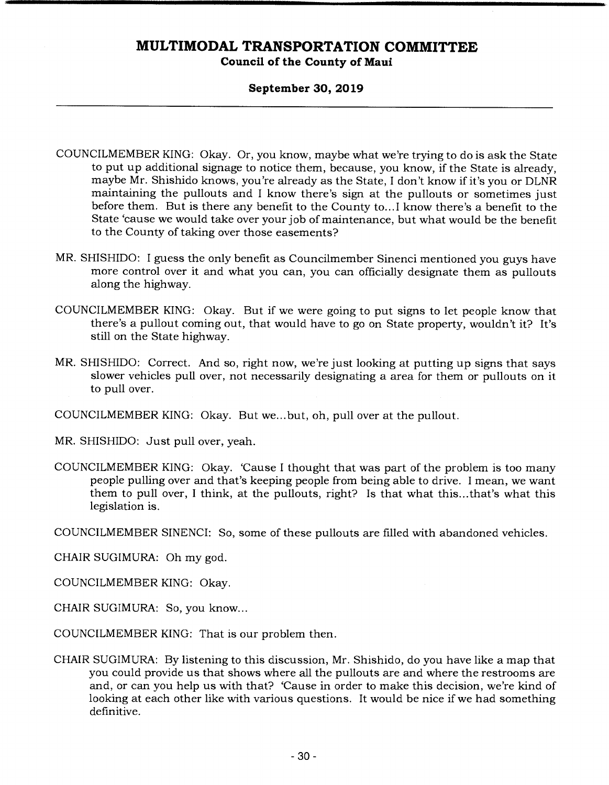#### **September 30, 2019**

- COUNCILMEMBER KING: Okay. Or, you know, maybe what we're trying to do is ask the State to put up additional signage to notice them, because, you know, if the State is already, maybe Mr. Shishido knows, you're already as the State, I don't know if it's you or DLNR maintaining the pullouts and I know there's sign at the pullouts or sometimes just before them. But is there any benefit to the County to... I know there's a benefit to the State 'cause we would take over your job of maintenance, but what would be the benefit to the County of taking over those easements?
- MR. SHISHIDO: I guess the only benefit as Councilmember Sinenci mentioned you guys have more control over it and what you can, you can officially designate them as pullouts along the highway.
- COUNCILMEMBER KING: Okay. But if we were going to put signs to let people know that there's a pullout coming out, that would have to go on State property, wouldn't it? It's still on the State highway.
- MR. SHISHIDO: Correct. And so, right now, we're just looking at putting up signs that says slower vehicles pull over, not necessarily designating a area for them or pullouts on it to pull over.
- COUNCILMEMBER KING: Okay. But we... but, oh, pull over at the pullout.
- MR. SHISHIDO: Just pull over, yeah.
- COUNCILMEMBER KING: Okay. 'Cause I thought that was part of the problem is too many people pulling over and that's keeping people from being able to drive. I mean, we want them to pull over, I think, at the pullouts, right? Is that what this... that's what this legislation is.

COUNCILMEMBER SINENCI: So, some of these pullouts are filled with abandoned vehicles.

CHAIR SUGIMURA: Oh my god.

- COUNCILMEMBER KING: Okay.
- CHAIR SUGIMURA: So, you know...
- COUNCILMEMBER KING: That is our problem then.
- CHAIR SUGIMURA: By listening to this discussion, Mr. Shishido, do you have like a map that you could provide us that shows where all the pullouts are and where the restrooms are and, or can you help us with that? 'Cause in order to make this decision, we're kind of looking at each other like with various questions. It would be nice if we had something definitive.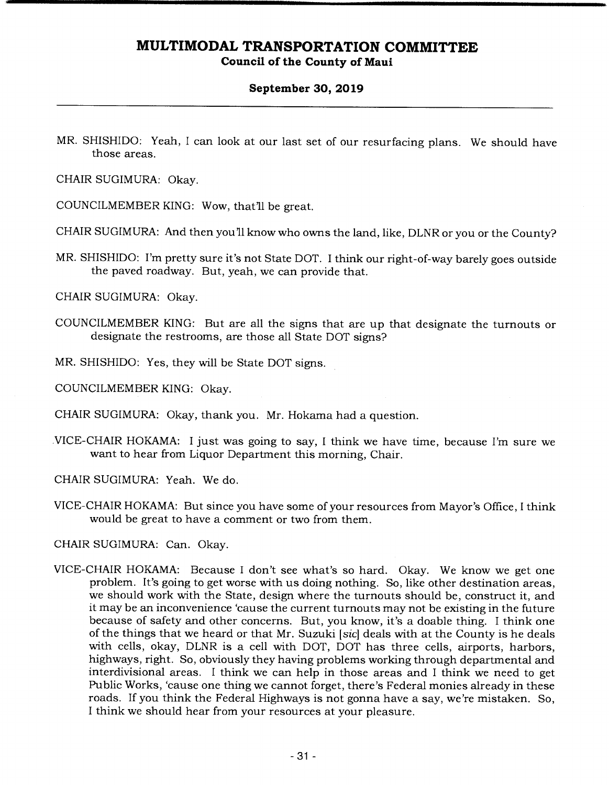#### **September 30, 2019**

MR. SHISHIDO: Yeah, I can look at our last set of our resurfacing plans. We should have those areas.

CHAIR SUGIMURA: Okay.

COUNCILMEMBER KING: Wow, that'll be great.

CHAIR SUGIMURA: And then you'll know who owns the land, like, DLNR or you or the County?

MR. SHISHIDO: I'm pretty sure it's not State DOT. I think our right-of-way barely goes outside the paved roadway. But, yeah, we can provide that.

CHAIR SUGIMURA: Okay.

- COUNCILMEMBER KING: But are all the signs that are up that designate the turnouts or designate the restrooms, are those all State DOT signs?
- MR. SHISHIDO: Yes, they will be State DOT signs.

COUNCILMEMBER KING: Okay.

CHAIR SUGIMURA: Okay, thank you. Mr. Hokama had a question.

VICE-CHAIR HOKAMA: I just was going to say, I think we have time, because I'm sure we want to hear from Liquor Department this morning, Chair.

CHAIR SUGIMURA: Yeah. We do.

VICE-CHAIR HOKAMA: But since you have some of your resources from Mayor's Office, I think would be great to have a comment or two from them.

CHAIR SUGIMURA: Can. Okay.

VICE-CHAIR HOKAMA: Because I don't see what's so hard. Okay. We know we get one problem. It's going to get worse with us doing nothing. So, like other destination areas, we should work with the State, design where the turnouts should be, construct it, and it may be an inconvenience 'cause the current turnouts may not be existing in the future because of safety and other concerns. But, you know, it's a doable thing. I think one of the things that we heard or that Mr. Suzuki *[sic]* deals with at the County is he deals with cells, okay, DLNR is a cell with DOT, DOT has three cells, airports, harbors, highways, right. So, obviously they having problems working through departmental and interdivisional areas. I think we can help in those areas and I think we need to get Public Works, 'cause one thing we cannot forget, there's Federal monies already in these roads. If you think the Federal Highways is not gonna have a say, we're mistaken. So, I think we should hear from your resources at your pleasure.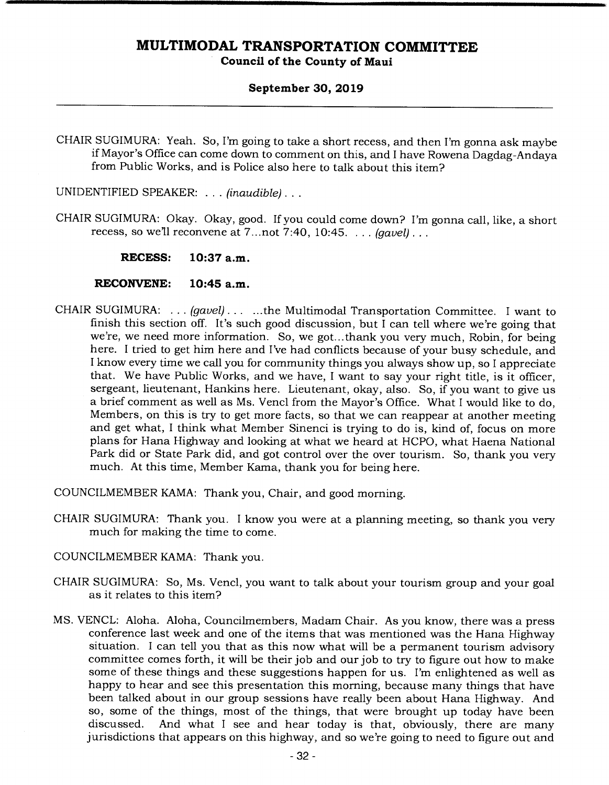#### **September 30, 2019**

CHAIR SUGIMURA: Yeah. So, I'm going to take a short recess, and then I'm gonna ask maybe if Mayor's Office can come down to comment on this, and I have Rowena Dagdag-Andaya from Public Works, and is Police also here to talk about this item?

UNIDENTIFIED SPEAKER: . . . *(inaudible)...* 

CHAIR SUGIMURA: Okay. Okay, good. If you could come down? I'm gonna call, like, a short recess, so well reconvene at 7.. .not 7:40, 10:45. . . . *(gavel).* 

**RECESS: 10:37 a.m.** 

- **RECONVENE: 10:45 a.m.**
- CHAIR SUGIMURA: ... *(gavel) ......*the Multimodal Transportation Committee. I want to finish this section off. It's such good discussion, but I can tell where we're going that we're, we need more information. So, we got... thank you very much, Robin, for being here. I tried to get him here and I've had conflicts because of your busy schedule, and I know every time we call you for community things you always show up, so I appreciate that. We have Public Works, and we have, I want to say your right title, is it officer, sergeant, lieutenant, Hankins here. Lieutenant, okay, also. So, if you want to give us a brief comment as well as Ms. Vencl from the Mayor's Office. What I would like to do, Members, on this is try to get more facts, so that we can reappear at another meeting and get what, I think what Member Sinenci is trying to do is, kind of, focus on more plans for Hana Highway and looking at what we heard at HCPO, what Haena National Park did or State Park did, and got control over the over tourism. So, thank you very much. At this time, Member Kama, thank you for being here.

COUNCILMEMBER KAMA: Thank you, Chair, and good morning.

- CHAIR SUGIMURA: Thank you. I know you were at a planning meeting, so thank you very much for making the time to come.
- COUNCILMEMBER KAMA: Thank you.
- CHAIR SUGIMURA: So, Ms. Vencl, you want to talk about your tourism group and your goal as it relates to this item?
- MS. VENCL: Aloha. Aloha, Councilmembers, Madam Chair. As you know, there was a press conference last week and one of the items that was mentioned was the Hana Highway situation. I can tell you that as this now what will be a permanent tourism advisory committee comes forth, it will be their job and our job to try to figure out how to make some of these things and these suggestions happen for us. I'm enlightened as well as happy to hear and see this presentation this morning, because many things that have been talked about in our group sessions have really been about Hana Highway. And so, some of the things, most of the things, that were brought up today have been discussed. And what I see and hear today is that, obviously, there are many And what I see and hear today is that, obviously, there are many jurisdictions that appears on this highway, and so we're going to need to figure out and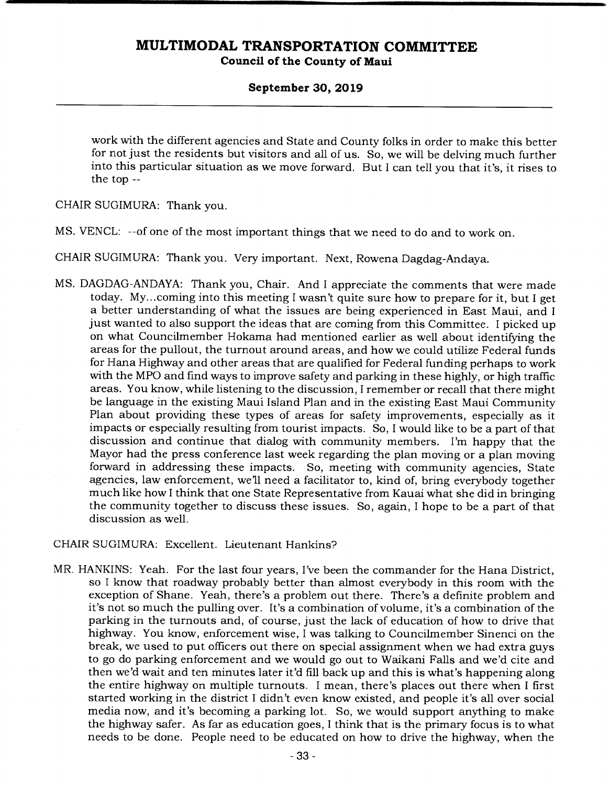#### **September 30, 2019**

work with the different agencies and State and County folks in order to make this better for not just the residents but visitors and all of us. So, we will be delving much further into this particular situation as we move forward. But I can tell you that it's, it rises to the top --

CHAIR SUGIMURA: Thank you.

MS. VENCL: --of one of the most important things that we need to do and to work on.

CHAIR SUGIMURA: Thank you. Very important. Next, Rowena Dagdag-Andaya.

MS. DAGDAG-ANDAYA: Thank you, Chair. And I appreciate the comments that were made today. My... coming into this meeting I wasn't quite sure how to prepare for it, but I get a better understanding of what the issues are being experienced in East Maui, and I just wanted to also support the ideas that are coming from this Committee. I picked up on what Councilmember Hokama had mentioned earlier as well about identifying the areas for the pullout, the turnout around areas, and how we could utilize Federal funds for Hana Highway and other areas that are qualified for Federal funding perhaps to work with the MPO and find ways to improve safety and parking in these highly, or high traffic areas. You know, while listening to the discussion, I remember or recall that there might be language in the existing Maui Island Plan and in the existing East Maui Community Plan about providing these types of areas for safety improvements, especially as it impacts or especially resulting from tourist impacts. So, I would like to be a part of that discussion and continue that dialog with community members. I'm happy that the Mayor had the press conference last week regarding the plan moving or a plan moving forward in addressing these impacts. So, meeting with community agencies, State agencies, law enforcement, we'll need a facilitator to, kind of, bring everybody together much like how I think that one State Representative from Kauai what she did in bringing the community together to discuss these issues. So, again, I hope to be a part of that discussion as well.

#### CHAIR SUGIMURA: Excellent. Lieutenant Hankins?

MR. HANKINS: Yeah. For the last four years, I've been the commander for the Hana District, so I know that roadway probably better than almost everybody in this room with the exception of Shane. Yeah, there's a problem out there. There's a definite problem and it's not so much the pulling over. It's a combination of volume, it's a combination of the parking in the turnouts and, of course, just the lack of education of how to drive that highway. You know, enforcement wise, I was talking to Councilmember Sinenci on the break, we used to put officers out there on special assignment when we had extra guys to go do parking enforcement and we would go out to Waikani Falls and we'd cite and then we'd wait and ten minutes later it'd fill back up and this is what's happening along the entire highway on multiple turnouts. I mean, there's places out there when I first started working in the district I didn't even know existed, and people it's all over social media now, and it's becoming a parking lot. So, we would support anything to make the highway safer. As far as education goes, I think that is the primary focus is to what needs to be done. People need to be educated on how to drive the highway, when the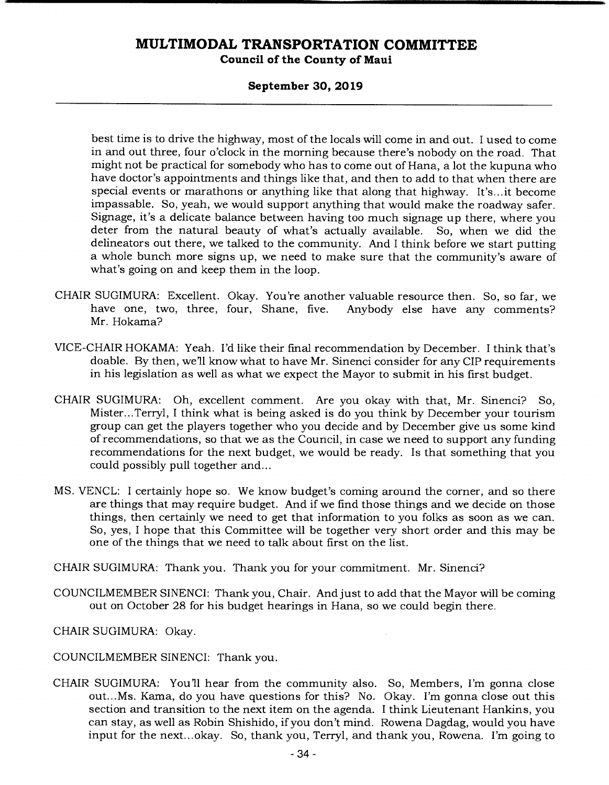#### **Council of the County of Maui**

#### **September 30, 2019**

best time is to drive the highway, most of the locals will come in and out. I used to come in and out three, four o'clock in the morning because there's nobody on the road. That might not be practical for somebody who has to come out of Hana, a lot the kupuna who have doctor's appointments and things like that, and then to add to that when there are special events or marathons or anything like that along that highway. It's... it become impassable. So, yeah, we would support anything that would make the roadway safer. Signage, it's a delicate balance between having too much signage up there, where you deter from the natural beauty of what's actually available. So, when we did the delineators out there, we talked to the community. And I think before we start putting a whole bunch more signs up, we need to make sure that the community's aware of what's going on and keep them in the loop.

- CHAIR SUGIMURA: Excellent. Okay. You're another valuable resource then. So, so far, we have one, two, three, four, Shane, five. Anybody else have any comments? Mr. Hokama?
- VICE-CHAIR HOKAMA: Yeah. I'd like their final recommendation by December. I think that's doable. By then, we'll know what to have Mr. Sinenci consider for any CIP requirements in his legislation as well as what we expect the Mayor to submit in his first budget.
- CHAIR SUGIMURA: Oh, excellent comment. Are you okay with that, Mr. Sinenci? So, Mister.. .Terryl, I think what is being asked is do you think by December your tourism group can get the players together who you decide and by December give us some kind of recommendations, so that we as the Council, in case we need to support any funding recommendations for the next budget, we would be ready. Is that something that you could possibly pull together and...
- MS. VENCL: I certainly hope so. We know budget's coming around the corner, and so there are things that may require budget. And if we find those things and we decide on those things, then certainly we need to get that information to you folks as soon as we can. So, yes, I hope that this Committee will be together very short order and this may be one of the things that we need to talk about first on the list.
- CHAIR SUGIMURA: Thank you. Thank you for your commitment. Mr. Sinenci?
- COUNCILMEMBER SINENCI: Thank you, Chair. And just to add that the Mayor will be coming out on October 28 for his budget hearings in Hana, so we could begin there.
- CHAIR SUGIMURA: Okay.
- COUNCILMEMBER SINENCI: Thank you.
- CHAIR SUGIMURA: You'll hear from the community also. So, Members, I'm gonna close out... Ms. Kama, do you have questions for this? No. Okay. I'm gonna close out this section and transition to the next item on the agenda. I think Lieutenant Hankins, you can stay, as well as Robin Shishido, if you don't mind. Rowena Dagdag, would you have input for the next.. .okay. So, thank you, Terryl, and thank you, Rowena. I'm going to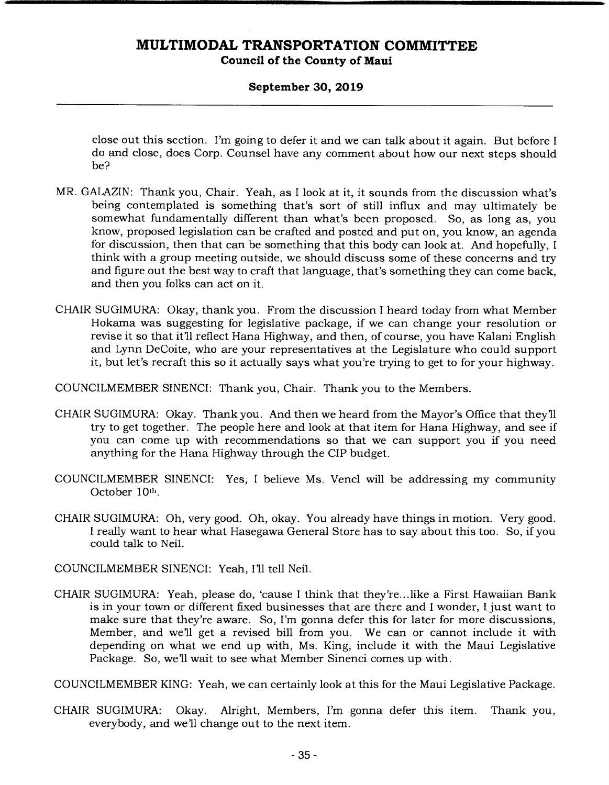#### **September 30, 2019**

close out this section. I'm going to defer it and we can talk about it again. But before I do and close, does Corp. Counsel have any comment about how our next steps should be?

- MR. GALAZIN: Thank you, Chair. Yeah, as I look at it, it sounds from the discussion what's being contemplated is something that's sort of still influx and may ultimately be somewhat fundamentally different than what's been proposed. So, as long as, you know, proposed legislation can be crafted and posted and put on, you know, an agenda for discussion, then that can be something that this body can look at. And hopefully, I think with a group meeting outside, we should discuss some of these concerns and try and figure out the best way to craft that language, that's something they can come back, and then you folks can act on it.
- CHAIR SUGIMURA: Okay, thank you. From the discussion I heard today from what Member Hokama was suggesting for legislative package, if we can change your resolution or revise it so that it'll reflect Hana Highway, and then, of course, you have Kalani English and Lynn DeCoite, who are your representatives at the Legislature who could support it, but let's recraft this so it actually says what you're trying to get to for your highway.

COUNCILMEMBER SINENCI: Thank you, Chair. Thank you to the Members.

- CHAIR SUGIMURA: Okay. Thank you. And then we heard from the Mayor's Office that they'll try to get together. The people here and look at that item for Hana Highway, and see if you can come up with recommendations so that we can support you if you need anything for the Hana Highway through the CIP budget.
- COUNCILMEMBER SINENCI: Yes, I believe Ms. Vencl will be addressing my community October 10th.
- CHAIR SUGIMURA: Oh, very good. Oh, okay. You already have things in motion. Very good. I really want to hear what Hasegawa General Store has to say about this too. So, if you could talk to Neil.

COUNCILMEMBER SINENCI: Yeah, I'll tell Neil.

CHAIR SUGIMURA: Yeah, please do, 'cause I think that they're ... like a First Hawaiian Bank is in your town or different fixed businesses that are there and I wonder, I just want to make sure that they're aware. So, I'm gonna defer this for later for more discussions, Member, and well get a revised bill from you. We can or cannot include it with depending on what we end up with, Ms. King, include it with the Maui Legislative Package. So, we'll wait to see what Member Sinenci comes up with.

COUNCILMEMBER KING: Yeah, we can certainly look at this for the Maui Legislative Package.

CHAIR SUGIMURA: Okay. Alright, Members, I'm gonna defer this item. Thank you, everybody, and we'll change out to the next item.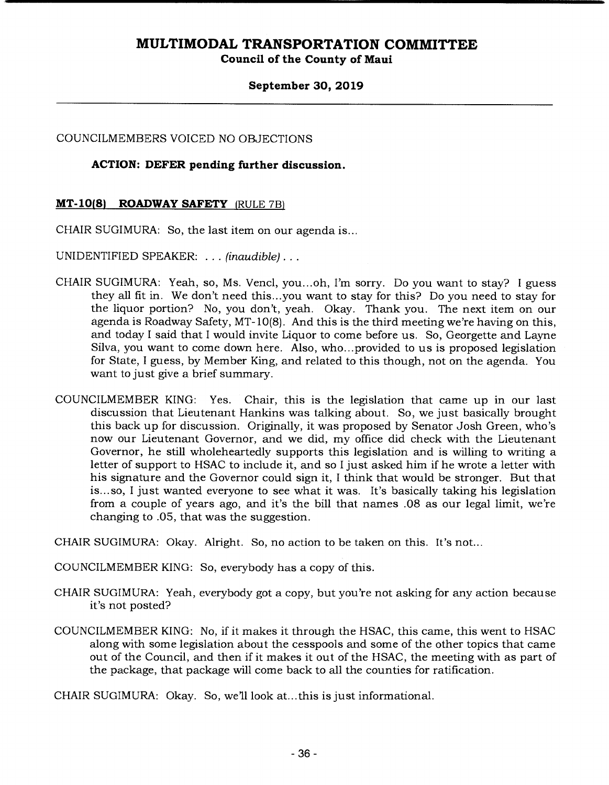**Council of the County of Maui** 

#### **September 30, 2019**

COUNCILMEMBERS VOICED NO OBJECTIONS

#### **ACTION: DEFER pending further discussion.**

#### **MT-10(8) ROADWAY SAFETY (RULE 7B)**

CHAIR SUGIMURA: So, the last item on our agenda is...

UNIDENTIFIED SPEAKER: ... *(inaudible)...* 

- CHAIR SUGIMURA: Yeah, so, Ms. Vencl, you...oh, I'm sorry. Do you want to stay? I guess they all fit in. We don't need this.. .you want to stay for this? Do you need to stay for the liquor portion? No, you don't, yeah. Okay. Thank you. The next item on our agenda is Roadway Safety, MT- 10(8). And this is the third meeting we're having on this, and today I said that I would invite Liquor to come before us. So, Georgette and Layne Silva, you want to come down here. Also, who.. .provided to us is proposed legislation for State, I guess, by Member King, and related to this though, not on the agenda. You want to just give a brief summary.
- COUNCILMEMBER KING: Yes. Chair, this is the legislation that came up in our last discussion that Lieutenant Hankins was talking about. So, we just basically brought this back up for discussion. Originally, it was proposed by Senator Josh Green, who's now our Lieutenant Governor, and we did, my office did check with the Lieutenant Governor, he still wholeheartedly supports this legislation and is willing to writing a letter of support to HSAC to include it, and so I just asked him if he wrote a letter with his signature and the Governor could sign it, I think that would be stronger. But that is.. .so, I just wanted everyone to see what it was. It's basically taking his legislation from a couple of years ago, and it's the bill that names .08 as our legal limit, we're changing to .05, that was the suggestion.

CHAIR SUGIMURA: Okay. Alright. So, no action to be taken on this. It's not...

COUNCILMEMBER KING: So, everybody has a copy of this.

- CHAIR SUGIMURA: Yeah, everybody got a copy, but you're not asking for any action because it's not posted?
- COUNCILMEMBER KING: No, if it makes it through the HSAC, this came, this went to HSAC along with some legislation about the cesspools and some of the other topics that came out of the Council, and then if it makes it out of the HSAC, the meeting with as part of the package, that package will come back to all the counties for ratification.

CHAIR SUGIMURA: Okay. So, we'll look at...this is just informational.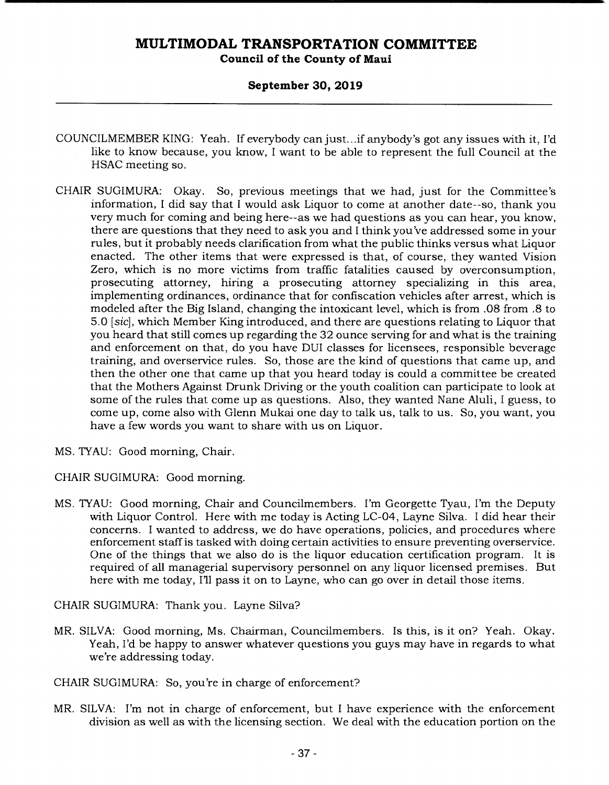**Council of the County of Maui** 

#### **September 30, 2019**

- COUNCILM EMBER KING: Yeah. If everybody can just.. .if anybody's got any issues with it, I'd like to know because, you know, I want to be able to represent the full Council at the HSAC meeting so.
- CHAIR SUGIMURA: Okay. So, previous meetings that we had, just for the Committee's information, I did say that I would ask Liquor to come at another date--so, thank you very much for coming and being here--as we had questions as you can hear, you know, there are questions that they need to ask you and I think you've addressed some in your rules, but it probably needs clarification from what the public thinks versus what Liquor enacted. The other items that were expressed is that, of course, they wanted Vision Zero, which is no more victims from traffic fatalities caused by overconsumption, prosecuting attorney, hiring a prosecuting attorney specializing in this area, implementing ordinances, ordinance that for confiscation vehicles after arrest, which is modeled after the Big Island, changing the intoxicant level, which is from .08 from .8 to 5.0 *[sic],* which Member King introduced, and there are questions relating to Liquor that you heard that still comes up regarding the 32 ounce serving for and what is the training and enforcement on that, do you have DUI classes for licensees, responsible beverage training, and overservice rules. So, those are the kind of questions that came up, and then the other one that came up that you heard today is could a committee be created that the Mothers Against Drunk Driving or the youth coalition can participate to look at some of the rules that come up as questions. Also, they wanted Nane Aluli, I guess, to come up, come also with Glenn Mukai one day to talk us, talk to us. So, you want, you have a few words you want to share with us on Liquor.
- MS. TYAU: Good morning, Chair.
- CHAIR SUGIMURA: Good morning.
- MS. TYAU: Good morning, Chair and Councilmembers. I'm Georgette Tyau, I'm the Deputy with Liquor Control. Here with me today is Acting LC-04, Layne Silva. I did hear their concerns. I wanted to address, we do have operations, policies, and procedures where enforcement staff is tasked with doing certain activities to ensure preventing overservice. One of the things that we also do is the liquor education certification program. It is required of all managerial supervisory personnel on any liquor licensed premises. But here with me today, I'll pass it on to Layne, who can go over in detail those items.

CHAIR SUGIMURA: Thank you. Layne Silva?

- MR. SILVA: Good morning, Ms. Chairman, Councilmembers. Is this, is it on? Yeah. Okay. Yeah, I'd be happy to answer whatever questions you guys may have in regards to what we're addressing today.
- CHAIR SUGIMURA: So, you're in charge of enforcement?
- MR. SILVA: I'm not in charge of enforcement, but I have experience with the enforcement division as well as with the licensing section. We deal with the education portion on the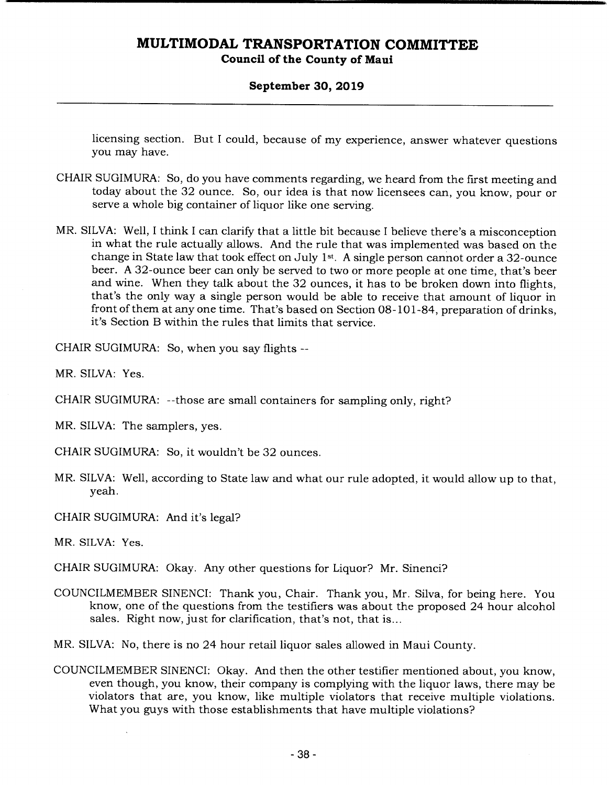**Council of the County of Maui** 

#### **September 30, 2019**

licensing section. But I could, because of my experience, answer whatever questions you may have.

- CHAIR SUGIMURA: So, do you have comments regarding, we heard from the first meeting and today about the 32 ounce. So, our idea is that now licensees can, you know, pour or serve a whole big container of liquor like one serving.
- MR. SILVA: Well, I think I can clarify that a little bit because I believe there's a misconception in what the rule actually allows. And the rule that was implemented was based on the change in State law that took effect on July 1st. A single person cannot order a 32-ounce beer. A 32-ounce beer can only be served to two or more people at one time, that's beer and wine. When they talk about the 32 ounces, it has to be broken down into flights, that's the only way a single person would be able to receive that amount of liquor in front of them at any one time. That's based on Section 08-101-84, preparation of drinks, it's Section B within the rules that limits that service.

CHAIR SUGIMURA: So, when you say flights --

MR. SILVA: Yes.

CHAIR SUGIMURA: --those are small containers for sampling only, right?

MR. SILVA: The samplers, yes.

CHAIR SUGIMURA: So, it wouldn't be 32 ounces.

MR. SILVA: Well, according to State law and what our rule adopted, it would allow up to that, yeah.

CHAIR SUGIMURA: And it's legal?

MR. SILVA: Yes.

- CHAIR SUGIMURA: Okay. Any other questions for Liquor? Mr. Sinenci?
- COUNCILMEMBER SINENCI: Thank you, Chair. Thank you, Mr. Silva, for being here. You know, one of the questions from the testifiers was about the proposed 24 hour alcohol sales. Right now, just for clarification, that's not, that is...

MR. SILVA: No, there is no 24 hour retail liquor sales allowed in Maui County.

COUNCILMEMBER SINENCI: Okay. And then the other testifier mentioned about, you know, even though, you know, their company is complying with the liquor laws, there may be violators that are, you know, like multiple violators that receive multiple violations. What you guys with those establishments that have multiple violations?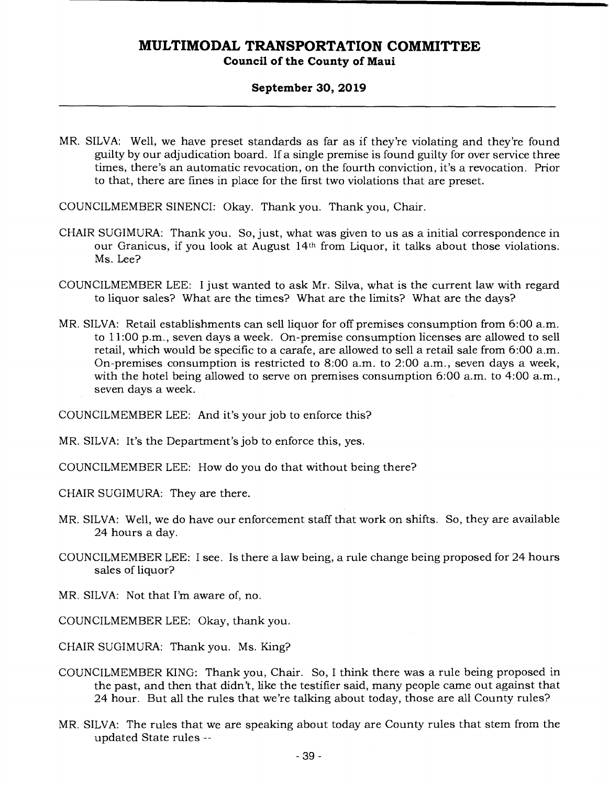**Council of the County of Maui** 

#### **September 30, 2019**

MR. SILVA: Well, we have preset standards as far as if they're violating and they're found guilty by our adjudication board. If a single premise is found guilty for over service three times, there's an automatic revocation, on the fourth conviction, it's a revocation. Prior to that, there are fines in place for the first two violations that are preset.

COUNCILMEMBER SINENCI: Okay. Thank you. Thank you, Chair.

- CHAIR SUGIMURA: Thank you. So, just, what was given to us as a initial correspondence in our Granicus, if you look at August 14th from Liquor, it talks about those violations. Ms. Lee?
- COUNCILMEMBER LEE: I just wanted to ask Mr. Silva, what is the current law with regard to liquor sales? What are the times? What are the limits? What are the days?
- MR. SILVA: Retail establishments can sell liquor for off premises consumption from 6:00 a.m. to 11:00 p.m., seven days a week. On-premise consumption licenses are allowed to sell retail, which would be specific to a carafe, are allowed to sell a retail sale from 6:00 a.m. On-premises consumption is restricted to 8:00 a.m. to 2:00 a.m., seven days a week, with the hotel being allowed to serve on premises consumption 6:00 a.m. to 4:00 a.m., seven days a week.

COUNCILMEMBER LEE: And it's your job to enforce this?

MR. SILVA: It's the Department's job to enforce this, yes.

COUNCILMEMBER LEE: How do you do that without being there?

CHAIR SUGIMURA: They are there.

- MR. SILVA: Well, we do have our enforcement staff that work on shifts. So, they are available 24 hours a day.
- COUNCILMEMBER LEE: I see. Is there a law being, a rule change being proposed for 24 hours sales of liquor?
- MR. SILVA: Not that I'm aware of, no.
- COUNCILMEMBER LEE: Okay, thank you.

CHAIR SUGIMURA: Thank you. Ms. King?

- COUNCILMEMBER KING: Thank you, Chair. So, I think there was a rule being proposed in the past, and then that didn't, like the testifier said, many people came out against that 24 hour. But all the rules that we're talking about today, those are all County rules?
- MR. SILVA: The rules that we are speaking about today are County rules that stem from the updated State rules --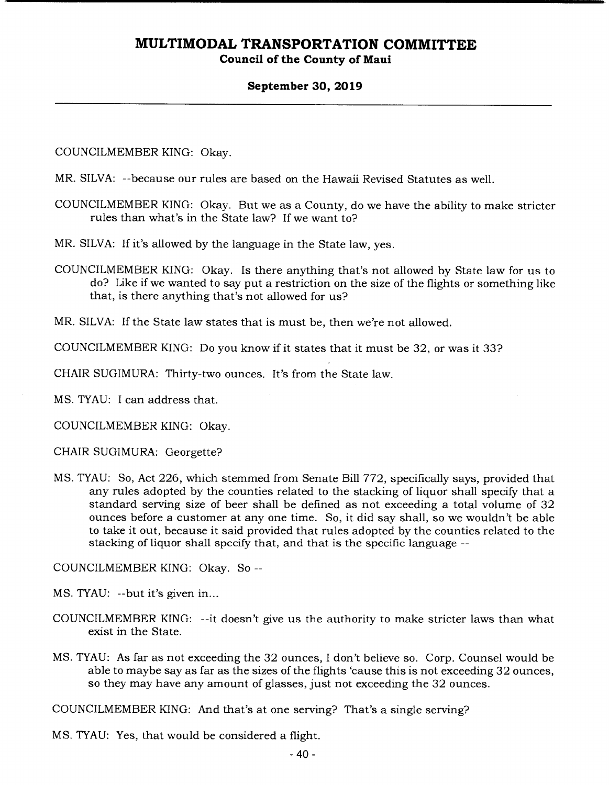#### **Council of the County of Maui**

#### **September 30, 2019**

COUNCILMEMBER KING: Okay.

MR. SILVA: --because our rules are based on the Hawaii Revised Statutes as well.

COUNCILMEMBER KING: Okay. But we as a County, do we have the ability to make stricter rules than what's in the State law? If we want to?

MR. SILVA: If it's allowed by the language in the State law, yes.

COUNCILMEMBER KING: Okay. Is there anything that's not allowed by State law for us to do? Like if we wanted to say put a restriction on the size of the flights or something like that, is there anything that's not allowed for us?

MR. SILVA: If the State law states that is must be, then we're not allowed.

COUNCILMEMBER KING: Do you know if it states that it must be 32, or was it 33?

CHAIR SUGIMURA: Thirty-two ounces. It's from the State law.

MS. TYAU: I can address that.

COUNCILMEMBER KING: Okay.

CHAIR SUGIMURA: Georgette?

MS. TYAU: So, Act 226, which stemmed from Senate Bill 772, specifically says, provided that any rules adopted by the counties related to the stacking of liquor shall specify that a standard serving size of beer shall be defined as not exceeding a total volume of 32 ounces before a customer at any one time. So, it did say shall, so we wouldn't be able to take it out, because it said provided that rules adopted by the counties related to the stacking of liquor shall specify that, and that is the specific language --

COUNCILMEMBER KING: Okay. So --

MS. TYAU: --but it's given in...

- COUNCILMEMBER KING: --it doesn't give us the authority to make stricter laws than what exist in the State.
- MS. TYAU: As far as not exceeding the 32 ounces, I don't believe so. Corp. Counsel would be able to maybe say as far as the sizes of the flights 'cause this is not exceeding 32 ounces, so they may have any amount of glasses, just not exceeding the 32 ounces.

COUNCILMEMBER KING: And that's at one serving? That's a single serving?

MS. TYAU: Yes, that would be considered a flight.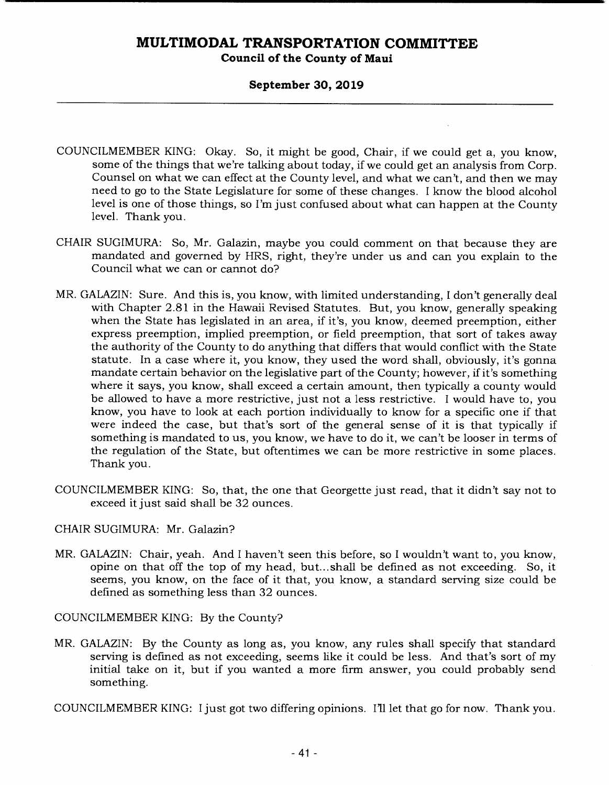**Council of the County of Maui** 

#### **September 30, 2019**

- COUNCILMEMBER KING: Okay. So, it might be good, Chair, if we could get a, you know, some of the things that we're talking about today, if we could get an analysis from Corp. Counsel on what we can effect at the County level, and what we can't, and then we may need to go to the State Legislature for some of these changes. I know the blood alcohol level is one of those things, so I'm just confused about what can happen at the County level. Thank you.
- CHAIR SUGIMURA: So, Mr. Galazin, maybe you could comment on that because they are mandated and governed by HRS, right, they're under us and can you explain to the Council what we can or cannot do?
- MR. GALAZIN: Sure. And this is, you know, with limited understanding, I don't generally deal with Chapter 2.81 in the Hawaii Revised Statutes. But, you know, generally speaking when the State has legislated in an area, if it's, you know, deemed preemption, either express preemption, implied preemption, or field preemption, that sort of takes away the authority of the County to do anything that differs that would conflict with the State statute. In a case where it, you know, they used the word shall, obviously, it's gonna mandate certain behavior on the legislative part of the County; however, if it's something where it says, you know, shall exceed a certain amount, then typically a county would be allowed to have a more restrictive, just not a less restrictive. I would have to, you know, you have to look at each portion individually to know for a specific one if that were indeed the case, but that's sort of the general sense of it is that typically if something is mandated to us, you know, we have to do it, we can't be looser in terms of the regulation of the State, but oftentimes we can be more restrictive in some places. Thank you.
- COUNCILMEMBER KING: So, that, the one that Georgette just read, that it didn't say not to exceed it just said shall be 32 ounces.

#### CHAIR SUGIMURA: Mr. Galazin?

MR. GALAZIN: Chair, yeah. And I haven't seen this before, so I wouldn't want to, you know, opine on that off the top of my head, but... shall be defined as not exceeding. So, it seems, you know, on the face of it that, you know, a standard serving size could be defined as something less than 32 ounces.

COUNCILMEMBER KING: By the County?

MR. GALAZIN: By the County as long as, you know, any rules shall specify that standard serving is defined as not exceeding, seems like it could be less. And that's sort of my initial take on it, but if you wanted a more firm answer, you could probably send something.

COUNCILMEMBER KING: I just got two differing opinions. I'll let that go for now. Thank you.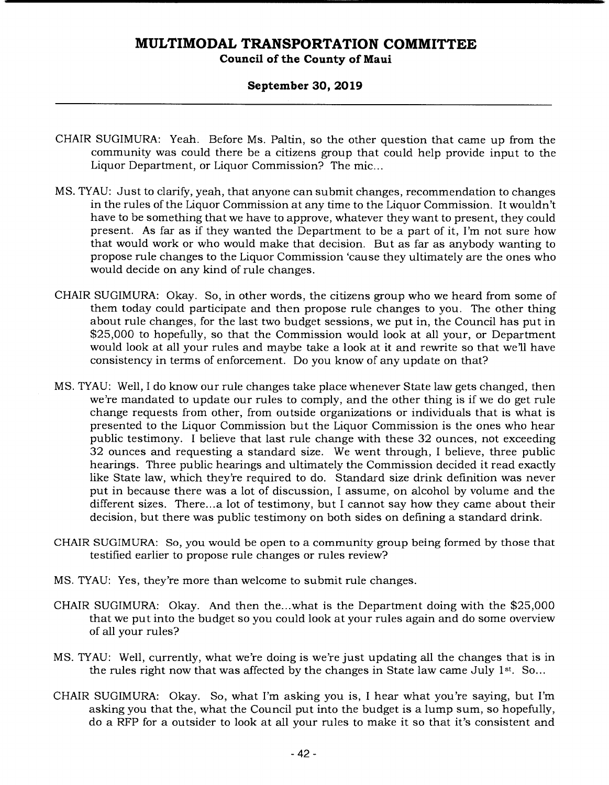#### **Council of the County of Maui**

#### **September 30, 2019**

- CHAIR SUGIMURA: Yeah. Before Ms. Paltin, so the other question that came up from the community was could there be a citizens group that could help provide input to the Liquor Department, or Liquor Commission? The mic...
- MS. TYAU: Just to clarify, yeah, that anyone can submit changes, recommendation to changes in the rules of the Liquor Commission at any time to the Liquor Commission. It wouldn't have to be something that we have to approve, whatever they want to present, they could present. As far as if they wanted the Department to be a part of it, I'm not sure how that would work or who would make that decision. But as far as anybody wanting to propose rule changes to the Liquor Commission 'cause they ultimately are the ones who would decide on any kind of rule changes.
- CHAIR SUGIMURA: Okay. So, in other words, the citizens group who we heard from some of them today could participate and then propose rule changes to you. The other thing about rule changes, for the last two budget sessions, we put in, the Council has put in \$25,000 to hopefully, so that the Commission would look at all your, or Department would look at all your rules and maybe take a look at it and rewrite so that we'll have consistency in terms of enforcement. Do you know of any update on that?
- MS. TYAU: Well, I do know our rule changes take place whenever State law gets changed, then we're mandated to update our rules to comply, and the other thing is if we do get rule change requests from other, from outside organizations or individuals that is what is presented to the Liquor Commission but the Liquor Commission is the ones who hear public testimony. I believe that last rule change with these 32 ounces, not exceeding 32 ounces and requesting a standard size. We went through, I believe, three public hearings. Three public hearings and ultimately the Commission decided it read exactly like State law, which they're required to do. Standard size drink definition was never put in because there was a lot of discussion, I assume, on alcohol by volume and the different sizes. There...a lot of testimony, but I cannot say how they came about their decision, but there was public testimony on both sides on defining a standard drink.
- CHAIR SUGIMURA: So, you would be open to a community group being formed by those that testified earlier to propose rule changes or rules review?
- MS. TYAU: Yes, they're more than welcome to submit rule changes.
- CHAIR SUGIMURA: Okay. And then the...what is the Department doing with the \$25,000 that we put into the budget so you could look at your rules again and do some overview of all your rules?
- MS. TYAU: Well, currently, what we're doing is we're just updating all the changes that is in the rules right now that was affected by the changes in State law came July  $1<sup>st</sup>$ . So...
- CHAIR SUGIMURA: Okay. So, what I'm asking you is, I hear what you're saying, but I'm asking you that the, what the Council put into the budget is a lump sum, so hopefully, do a RFP for a outsider to look at all your rules to make it so that it's consistent and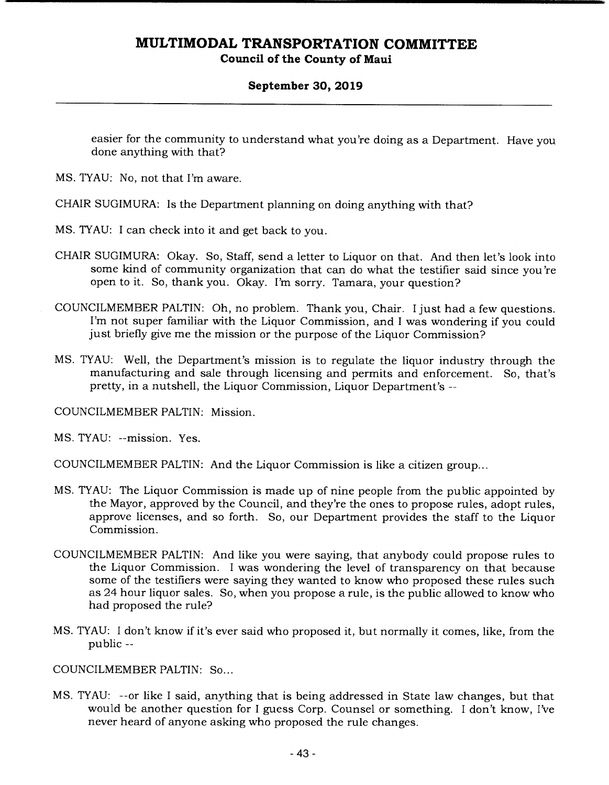#### **September 30, 2019**

easier for the community to understand what you're doing as a Department. Have you done anything with that?

MS. TYAU: No, not that I'm aware.

CHAIR SUGIMURA: Is the Department planning on doing anything with that?

- MS. TYAU: I can check into it and get back to you.
- CHAIR SUGIMURA: Okay. So, Staff, send a letter to Liquor on that. And then let's look into some kind of community organization that can do what the testifier said since you're open to it. So, thank you. Okay. I'm sorry. Tamara, your question?
- COUNCILMEMBER PALTIN: Oh, no problem. Thank you, Chair. I just had a few questions. I'm not super familiar with the Liquor Commission, and I was wondering if you could just briefly give me the mission or the purpose of the Liquor Commission?
- MS. TYAU: Well, the Department's mission is to regulate the liquor industry through the manufacturing and sale through licensing and permits and enforcement. So, that's pretty, in a nutshell, the Liquor Commission, Liquor Department's --

COUNCILMEMBER PALTIN: Mission.

MS. TYAU: --mission. Yes.

COUNCILMEMBER PALTIN: And the Liquor Commission is like a citizen group...

- MS. TYAU: The Liquor Commission is made up of nine people from the public appointed by the Mayor, approved by the Council, and they're the ones to propose rules, adopt rules, approve licenses, and so forth. So, our Department provides the staff to the Liquor Commission.
- COUNCILMEMBER PALTIN: And like you were saying, that anybody could propose rules to the Liquor Commission. I was wondering the level of transparency on that because some of the testifiers were saying they wanted to know who proposed these rules such as 24 hour liquor sales. So, when you propose a rule, is the public allowed to know who had proposed the rule?
- MS. TYAU: I don't know if it's ever said who proposed it, but normally it comes, like, from the public --

COUNCILMEMBER PALTIN: So...

MS. TYAU: --or like I said, anything that is being addressed in State law changes, but that would be another question for I guess Corp. Counsel or something. I don't know, I've never heard of anyone asking who proposed the rule changes.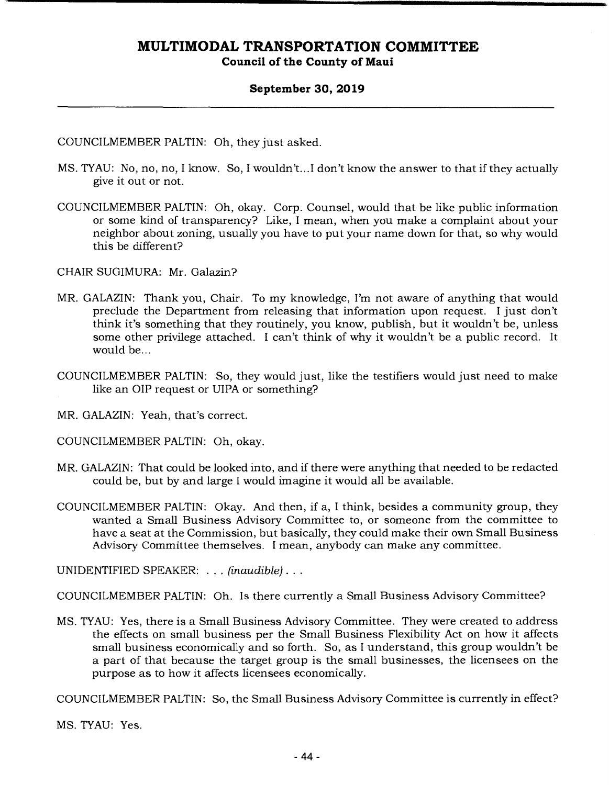#### **September 30, 2019**

COUNCILMEMBER PALTIN: Oh, they just asked.

- MS. TYAU: No, no, no, I know. So, I wouldn't.. .1 don't know the answer to that if they actually give it out or not.
- COUNCILMEMBER PALTIN: Oh, okay. Corp. Counsel, would that be like public information or some kind of transparency? Like, I mean, when you make a complaint about your neighbor about zoning, usually you have to put your name down for that, so why would this be different?

CHAIR SUGIMURA: Mr. Galazin?

- MR. GALAZIN: Thank you, Chair. To my knowledge, I'm not aware of anything that would preclude the Department from releasing that information upon request. I just don't think it's something that they routinely, you know, publish, but it wouldn't be, unless some other privilege attached. I can't think of why it wouldn't be a public record. It would be...
- COUNCILMEMBER PALTIN: So, they would just, like the testifiers would just need to make like an OIP request or UIPA or something?

MR. GALAZIN: Yeah, that's correct.

COUNCILMEMBER PALTIN: Oh, okay.

- MR. GALAZIN: That could be looked into, and if there were anything that needed to be redacted could be, but by and large I would imagine it would all be available.
- COUNCILMEMBER PALTIN: Okay. And then, if a, I think, besides a community group, they wanted a Small Business Advisory Committee to, or someone from the committee to have a seat at the Commission, but basically, they could make their own Small Business Advisory Committee themselves. I mean, anybody can make any committee.

UNIDENTIFIED SPEAKER: . . . *(inaudible)...* 

COUNCILMEMBER PALTIN: Oh. Is there currently a Small Business Advisory Committee?

MS. TYAU: Yes, there is a Small Business Advisory Committee. They were created to address the effects on small business per the Small Business Flexibility Act on how it affects small business economically and so forth. So, as I understand, this group wouldn't be a part of that because the target group is the small businesses, the licensees on the purpose as to how it affects licensees economically.

COUNCILMEMBER PALTIN: So, the Small Business Advisory Committee is currently in effect?

MS. TYAU: Yes.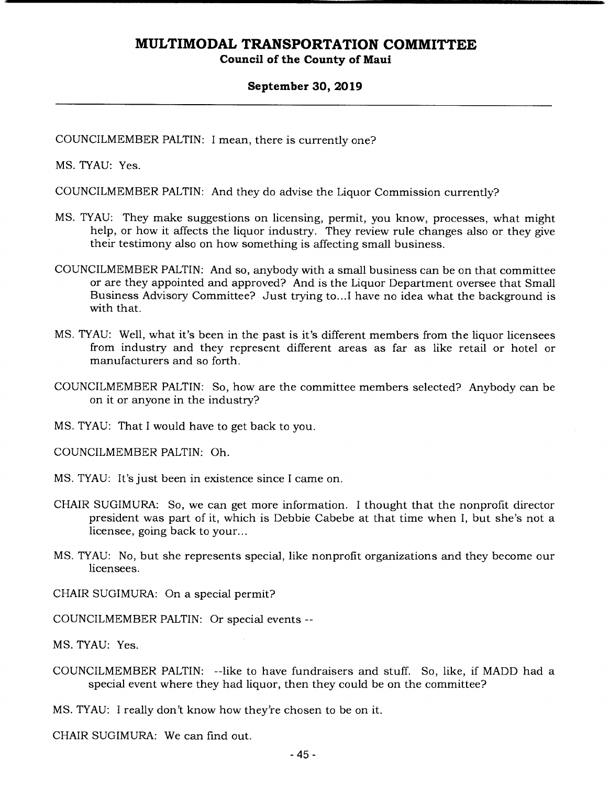#### **September 30, 2019**

COUNCILMEMBER PALTIN: I mean, there is currently one?

MS. TYAU: Yes.

COUNCILMEMBER PALTIN: And they do advise the Liquor Commission currently?

- MS. TYAU: They make suggestions on licensing, permit, you know, processes, what might help, or how it affects the liquor industry. They review rule changes also or they give their testimony also on how something is affecting small business.
- COUNCILMEMBER PALTIN: And so, anybody with a small business can be on that committee or are they appointed and approved? And is the Liquor Department oversee that Small Business Advisory Committee? Just trying to... I have no idea what the background is with that.
- MS. TYAU: Well, what it's been in the past is it's different members from the liquor licensees from industry and they represent different areas as far as like retail or hotel or manufacturers and so forth.
- COUNCILMEMBER PALTIN: So, how are the committee members selected? Anybody can be on it or anyone in the industry?

MS. TYAU: That I would have to get back to you.

COUNCILMEMBER PALTIN: Oh.

MS. TYAU: It's just been in existence since I came on.

- CHAIR SUGIMURA: So, we can get more information. I thought that the nonprofit director president was part of it, which is Debbie Cabebe at that time when I, but she's not a licensee, going back to your...
- MS. TYAU: No, but she represents special, like nonprofit organizations and they become our licensees.

CHAIR SUGIMURA: On a special permit?

COUNCILMEMBER PALTIN: Or special events --

MS. TYAU: Yes.

COUNCILMEMBER PALTIN: --like to have fundraisers and stuff. So, like, if MADD had a special event where they had liquor, then they could be on the committee?

MS. TYAU: I really don't know how they're chosen to be on it.

CHAIR SUGIMURA: We can find out.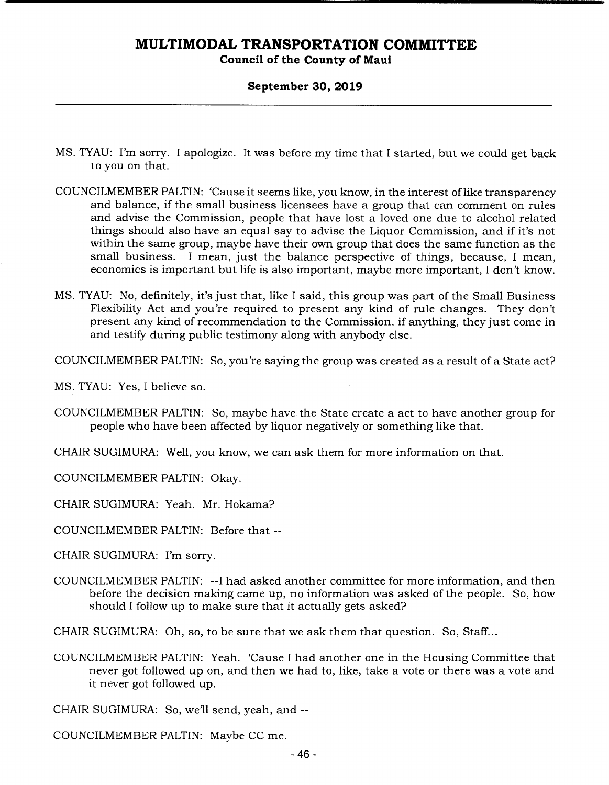#### **Council of the County of Maui**

#### **September 30, 2019**

- MS. TYAU: I'm sorry. I apologize. It was before my time that I started, but we could get back to you on that.
- COUNCILMEMBER PALTIN: 'Cause it seems like, you know, in the interest of like transparency and balance, if the small business licensees have a group that can comment on rules and advise the Commission, people that have lost a loved one due to alcohol-related things should also have an equal say to advise the Liquor Commission, and if it's not within the same group, maybe have their own group that does the same function as the small business. I mean, just the balance perspective of things, because, I mean, economics is important but life is also important, maybe more important, I don't know.
- MS. TYAU: No, definitely, it's just that, like I said, this group was part of the Small Business Flexibility Act and you're required to present any kind of rule changes. They don't present any kind of recommendation to the Commission, if anything, they just come in and testify during public testimony along with anybody else.

COUNCILMEMBER PALTIN: So, you're saying the group was created as a result of a State act?

MS. TYAU: Yes, I believe so.

- COUNCILMEMBER PALTIN: So, maybe have the State create a act to have another group for people who have been affected by liquor negatively or something like that.
- CHAIR SUGIMURA: Well, you know, we can ask them for more information on that.

COUNCILMEMBER PALTIN: Okay.

CHAIR SUGIMURA: Yeah. Mr. Hokama?

COUNCILMEMBER PALTIN: Before that --

CHAIR SUGIMURA: I'm sorry.

COUNCILMEMBER PALTIN: --I had asked another committee for more information, and then before the decision making came up, no information was asked of the people. So, how should I follow up to make sure that it actually gets asked?

CHAIR SUGIMURA: Oh, so, to be sure that we ask them that question. So, Staff...

COUNCILMEMBER PALTIN: Yeah. 'Cause I had another one in the Housing Committee that never got followed up on, and then we had to, like, take a vote or there was a vote and it never got followed up.

CHAIR SUGIMURA: So, we'll send, yeah, and --

COUNCILMEMBER PALTIN: Maybe CC me.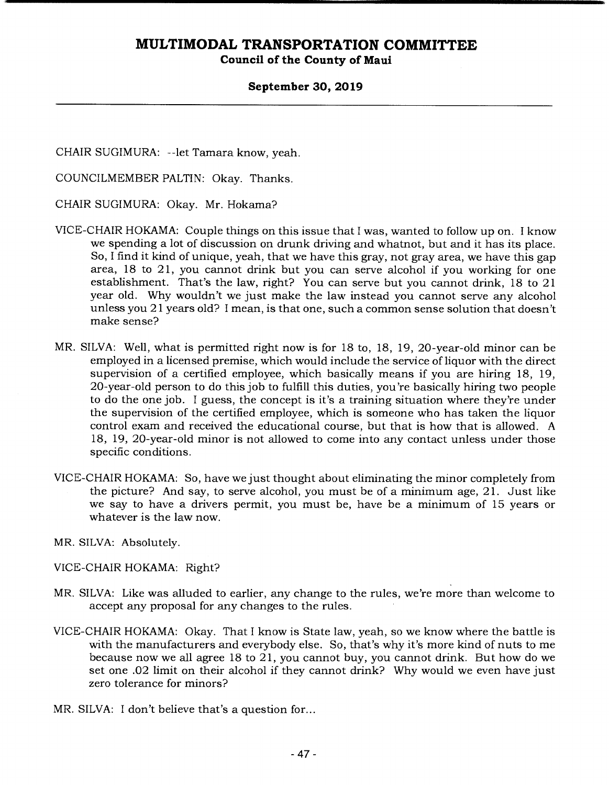**Council of the County of Maui** 

#### **September 30, 2019**

CHAIR SUGIMURA: --let Tamara know, yeah.

COUNCILMEMBER PALTIN: Okay. Thanks.

CHAIR SUGIMURA: Okay. Mr. Hokama?

- VICE-CHAIR HOKAMA: Couple things on this issue that I was, wanted to follow up on. I know we spending a lot of discussion on drunk driving and whatnot, but and it has its place. So, I find it kind of unique, yeah, that we have this gray, not gray area, we have this gap area, 18 to 21, you cannot drink but you can serve alcohol if you working for one establishment. That's the law, right? You can serve but you cannot drink, 18 to 21 year old. Why wouldn't we just make the law instead you cannot serve any alcohol unless you 21 years old? I mean, is that one, such a common sense solution that doesn't make sense?
- MR. SILVA: Well, what is permitted right now is for 18 to, 18, 19, 20-year-old minor can be employed in a licensed premise, which would include the service of liquor with the direct supervision of a certified employee, which basically means if you are hiring 18, 19, 20-year-old person to do this job to fulfill this duties, you're basically hiring two people to do the one job. I guess, the concept is it's a training situation where they're under the supervision of the certified employee, which is someone who has taken the liquor control exam and received the educational course, but that is how that is allowed. A 18, 19, 20-year-old minor is not allowed to come into any contact unless under those specific conditions.
- VICE-CHAIR HOKAMA: So, have we just thought about eliminating the minor completely from the picture? And say, to serve alcohol, you must be of a minimum age, 21. Just like we say to have a drivers permit, you must be, have be a minimum of 15 years or whatever is the law now.
- MR. SILVA: Absolutely.

VICE-CHAIR HOKAMA: Right?

- MR. SILVA: Like was alluded to earlier, any change to the rules, we're more than welcome to accept any proposal for any changes to the rules.
- VICE-CHAIR HOKAMA: Okay. That I know is State law, yeah, so we know where the battle is with the manufacturers and everybody else. So, that's why it's more kind of nuts to me because now we all agree 18 to 21, you cannot buy, you cannot drink. But how do we set one .02 limit on their alcohol if they cannot drink? Why would we even have just zero tolerance for minors?
- MR. SILVA: I don't believe that's a question for...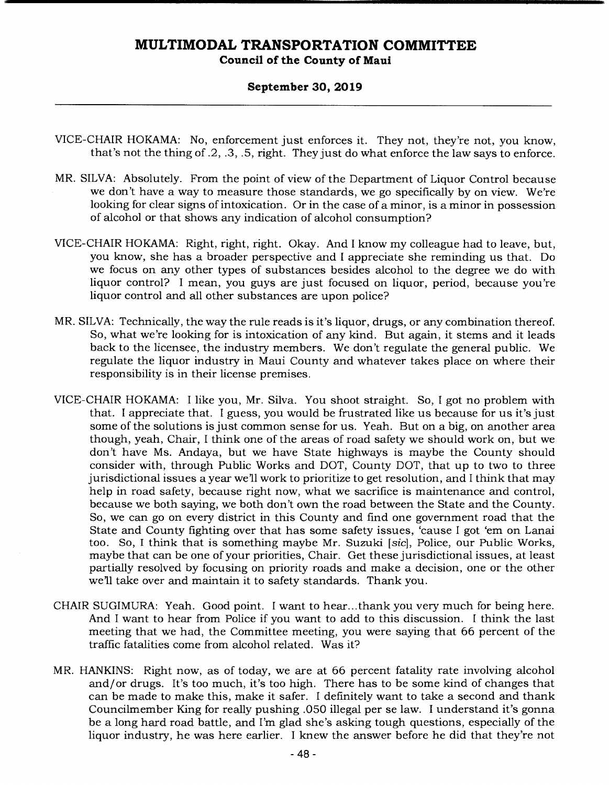#### **September 30, 2019**

- VICE-CHAIR HOKAMA: No, enforcement just enforces it. They not, they're not, you know, that's not the thing of .2, .3, .5, right. They just do what enforce the law says to enforce.
- MR. SILVA: Absolutely. From the point of view of the Department of Liquor Control because we don't have a way to measure those standards, we go specifically by on view. We're looking for clear signs of intoxication. Or in the case of a minor, is a minor in possession of alcohol or that shows any indication of alcohol consumption?
- VICE-CHAIR HOKAMA: Right, right, right. Okay. And I know my colleague had to leave, but, you know, she has a broader perspective and I appreciate she reminding us that. Do we focus on any other types of substances besides alcohol to the degree we do with liquor control? I mean, you guys are just focused on liquor, period, because you're liquor control and all other substances are upon police?
- MR. SILVA: Technically, the way the rule reads is it's liquor, drugs, or any combination thereof. So, what we're looking for is intoxication of any kind. But again, it stems and it leads back to the licensee, the industry members. We don't regulate the general public. We regulate the liquor industry in Maui County and whatever takes place on where their responsibility is in their license premises.
- VICE-CHAIR HOKAMA: I like you, Mr. Silva. You shoot straight. So, I got no problem with that. I appreciate that. I guess, you would be frustrated like us because for us it's just some of the solutions is just common sense for us. Yeah. But on a big, on another area though, yeah, Chair, I think one of the areas of road safety we should work on, but we don't have Ms. Andaya, but we have State highways is maybe the County should consider with, through Public Works and DOT, County DOT, that up to two to three jurisdictional issues a year we'll work to prioritize to get resolution, and I think that may help in road safety, because right now, what we sacrifice is maintenance and control, because we both saying, we both don't own the road between the State and the County. So, we can go on every district in this County and find one government road that the State and County fighting over that has some safety issues, 'cause I got 'em on Lanai too. So, I think that is something maybe Mr. Suzuki *[sic],* Police, our Public Works, maybe that can be one of your priorities, Chair. Get these jurisdictional issues, at least partially resolved by focusing on priority roads and make a decision, one or the other we'll take over and maintain it to safety standards. Thank you.
- CHAIR SUGIMURA: Yeah. Good point. I want to hear... thank you very much for being here. And I want to hear from Police if you want to add to this discussion. I think the last meeting that we had, the Committee meeting, you were saying that 66 percent of the traffic fatalities come from alcohol related. Was it?
- MR. HANKINS: Right now, as of today, we are at 66 percent fatality rate involving alcohol and/or drugs. It's too much, it's too high. There has to be some kind of changes that can be made to make this, make it safer. I definitely want to take a second and thank Councilmember King for really pushing .050 illegal per se law. I understand it's gonna be a long hard road battle, and I'm glad she's asking tough questions, especially of the liquor industry, he was here earlier. I knew the answer before he did that they're not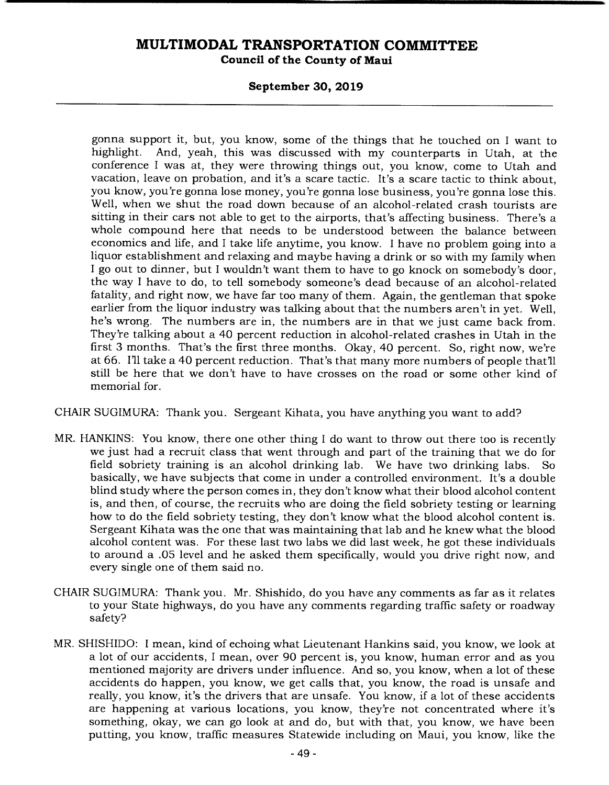**Council of the County of Maui** 

#### **September 30, 2019**

gonna support it, but, you know, some of the things that he touched on I want to highlight. And, yeah, this was discussed with my counterparts in Utah, at the conference I was at, they were throwing things out, you know, come to Utah and vacation, leave on probation, and it's a scare tactic. It's a scare tactic to think about, you know, you're gonna lose money, you're gonna lose business, you're gonna lose this. Well, when we shut the road down because of an alcohol-related crash tourists are sitting in their cars not able to get to the airports, that's affecting business. There's a whole compound here that needs to be understood between the balance between economics and life, and I take life anytime, you know. I have no problem going into a liquor establishment and relaxing and maybe having a drink or so with my family when I go out to dinner, but I wouldn't want them to have to go knock on somebody's door, the way I have to do, to tell somebody someone's dead because of an alcohol-related fatality, and right now, we have far too many of them. Again, the gentleman that spoke earlier from the liquor industry was talking about that the numbers aren't in yet. Well, he's wrong. The numbers are in, the numbers are in that we just came back from. They're talking about a 40 percent reduction in alcohol-related crashes in Utah in the first 3 months. That's the first three months. Okay, 40 percent. So, right now, we're at 66. I'll take a 40 percent reduction. That's that many more numbers of people that'll still be here that we don't have to have crosses on the road or some other kind of memorial for.

CHAIR SUGIMURA: Thank you. Sergeant Kihata, you have anything you want to add?

- MR. HANKINS: You know, there one other thing I do want to throw out there too is recently we just had a recruit class that went through and part of the training that we do for field sobriety training is an alcohol drinking lab. We have two drinking labs. So basically, we have subjects that come in under a controlled environment. It's a double blind study where the person comes in, they don't know what their blood alcohol content is, and then, of course, the recruits who are doing the field sobriety testing or learning how to do the field sobriety testing, they don't know what the blood alcohol content is. Sergeant Kihata was the one that was maintaining that lab and he knew what the blood alcohol content was. For these last two labs we did last week, he got these individuals to around a .05 level and he asked them specifically, would you drive right now, and every single one of them said no.
- CHAIR SUGIMURA: Thank you. Mr. Shishido, do you have any comments as far as it relates to your State highways, do you have any comments regarding traffic safety or roadway safety?
- MR. SHISHIDO: I mean, kind of echoing what Lieutenant Hankins said, you know, we look at a lot of our accidents, I mean, over 90 percent is, you know, human error and as you mentioned majority are drivers under influence. And so, you know, when a lot of these accidents do happen, you know, we get calls that, you know, the road is unsafe and really, you know, it's the drivers that are unsafe. You know, if a lot of these accidents are happening at various locations, you know, they're not concentrated where it's something, okay, we can go look at and do, but with that, you know, we have been putting, you know, traffic measures Statewide including on Maui, you know, like the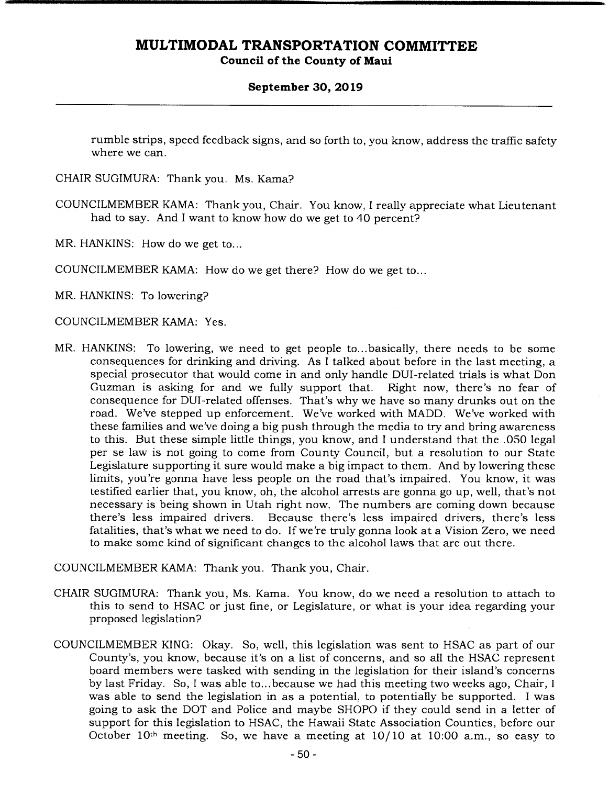**Council of the County of Maui** 

#### **September 30, 2019**

rumble strips, speed feedback signs, and so forth to, you know, address the traffic safety where we can.

- CHAIR SUGIMURA: Thank you. Ms. Kama?
- COUNCILMEMBER KAMA: Thank you, Chair. You know, I really appreciate what Lieutenant had to say. And I want to know how do we get to 40 percent?
- MR. HANKINS: How do we get to...

COUNCILMEMBER KAMA: How do we get there? How do we get to...

MR. HANKINS: To lowering?

COUNCILMEMBER KAMA: Yes.

MR. HANKINS: To lowering, we need to get people to... basically, there needs to be some consequences for drinking and driving. As I talked about before in the last meeting, a special prosecutor that would come in and only handle DUI-related trials is what Don Guzman is asking for and we fully support that. consequence for DUI-related offenses. That's why we have so many drunks out on the road. We've stepped up enforcement. We've worked with MADD. We've worked with these families and we've doing a big push through the media to try and bring awareness to this. But these simple little things, you know, and I understand that the .050 legal per se law is not going to come from County Council, but a resolution to our State Legislature supporting it sure would make a big impact to them. And by lowering these limits, you're gonna have less people on the road that's impaired. You know, it was testified earlier that, you know, oh, the alcohol arrests are gonna go up, well, that's not necessary is being shown in Utah right now. The numbers are coming down because there's less impaired drivers. Because there's less impaired drivers, there's less fatalities, that's what we need to do. If we're truly gonna look at a Vision Zero, we need to make some kind of significant changes to the alcohol laws that are out there.

COUNCILMEMBER KAMA: Thank you. Thank you, Chair.

- CHAIR SUGIMURA: Thank you, Ms. Kama. You know, do we need a resolution to attach to this to send to HSAC or just fine, or Legislature, or what is your idea regarding your proposed legislation?
- COUNCILMEMBER KING: Okay. So, well, this legislation was sent to HSAC as part of our County's, you know, because it's on a list of concerns, and so all the HSAC represent board members were tasked with sending in the legislation for their island's concerns by last Friday. So, I was able to... because we had this meeting two weeks ago, Chair, I was able to send the legislation in as a potential, to potentially be supported. I was going to ask the DOT and Police and maybe SHOPO if they could send in a letter of support for this legislation to HSAC, the Hawaii State Association Counties, before our October  $10<sup>th</sup>$  meeting. So, we have a meeting at  $10/10$  at  $10:00$  a.m., so easy to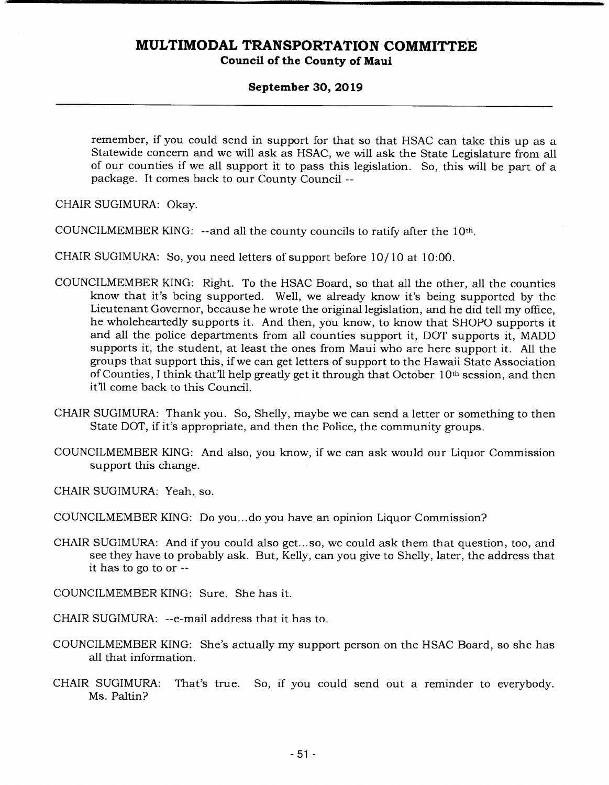#### **September 30, 2019**

remember, if you could send in support for that so that HSAC can take this up as a Statewide concern and we will ask as HSAC, we will ask the State Legislature from all of our counties if we all support it to pass this legislation. So, this will be part of a package. It comes back to our County Council --

CHAIR SUGIMURA: Okay.

COUNCILMEMBER KING: --and all the county councils to ratify after the 10th

CHAIR SUGIMURA: So, you need letters of support before 10/10 at 10:00.

- COUNCILMEMBER KING: Right. To the HSAC Board, so that all the other, all the counties know that it's being supported. Well, we already know it's being supported by the Lieutenant Governor, because he wrote the original legislation, and he did tell my office, he wholeheartedly supports it. And then, you know, to know that SHOPO supports it and all the police departments from all counties support it, DOT supports it, MADD supports it, the student, at least the ones from Maui who are here support it. All the groups that support this, if we can get letters of support to the Hawaii State Association of Counties, I think that'll help greatly get it through that October 10th session, and then it'll come back to this Council.
- CHAIR SUGIMURA: Thank you. So, Shelly, maybe we can send a letter or something to then State DOT, if it's appropriate, and then the Police, the community groups.
- COUNCILMEMBER KING: And also, you know, if we can ask would our Liquor Commission support this change.

CHAIR SUGIMURA: Yeah, so.

COUNCILMEMBER KING: Do you... do you have an opinion Liquor Commission?

CHAIR SUGIMURA: And if you could also get...so, we could ask them that question, too, and see they have to probably ask. But, Kelly, can you give to Shelly, later, the address that it has to go to or --

COUNCILMEMBER KING: Sure. She has it.

- CHAIR SUGIMURA: --e-mail address that it has to.
- COUNCILMEMBER KING: She's actually my support person on the HSAC Board, so she has all that information.
- CHAIR SUGIMURA: That's true. So, if you could send out a reminder to everybody. Ms. Paltin?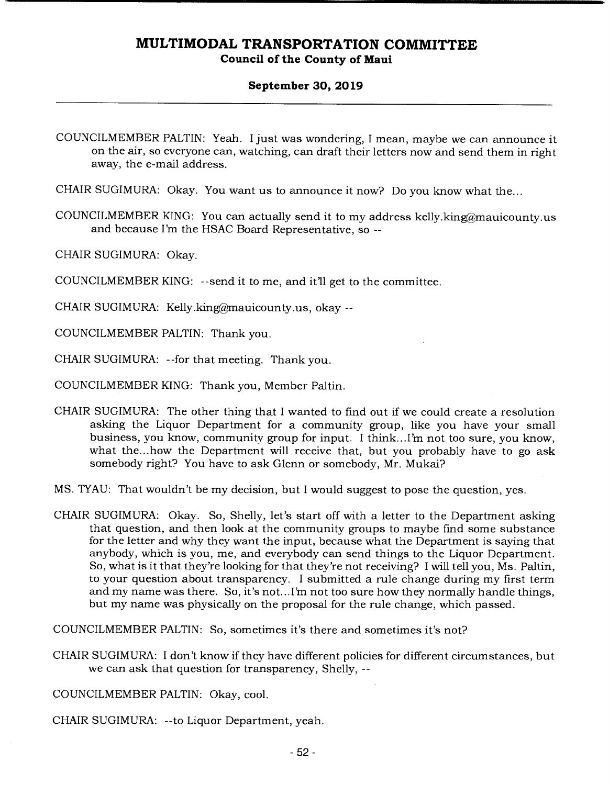# **Council of the County of Maui**

#### **September 30, 2019**

CHAIR SUGIMURA: Okay. You want us to announce it now? Do you know what the...

COUNCILMEMBER KING: You can actually send it to my address kelly.king@mauicounty.us and because I'm the HSAC Board Representative, so --

CHAIR SUGIMURA: Okay.

COUNCILMEMBER KING: --send it to me, and it'll get to the committee.

CHAIR SUGIMURA: Kelly.king@mauicounty.us, okay  $-$ 

COUNCILMEMBER PALTIN: Thank you.

CHAIR SUGIMURA: --for that meeting. Thank you.

COUNCILMEMBER KING: Thank you, Member Paltin.

CHAIR SUGIMURA: The other thing that I wanted to find out if we could create a resolution asking the Liquor Department for a community group, like you have your small business, you know, community group for input. I think.. .I'm not too sure, you know, what the... how the Department will receive that, but you probably have to go ask somebody right? You have to ask Glenn or somebody, Mr. Mukai?

MS. TYAU: That wouldn't be my decision, but I would suggest to pose the question, yes.

CHAIR SUGIMURA: Okay. So, Shelly, let's start off with a letter to the Department asking that question, and then look at the community groups to maybe find some substance for the letter and why they want the input, because what the Department is saying that anybody, which is you, me, and everybody can send things to the Liquor Department. So, what is it that they're looking for that they're not receiving? I will tell you, Ms. Paltin, to your question about transparency. I submitted a rule change during my first term and my name was there. So, it's not... I'm not too sure how they normally handle things, but my name was physically on the proposal for the rule change, which passed.

COUNCILMEMBER PALTIN: So, sometimes it's there and sometimes it's not?

CHAIR SUGIMURA: I don't know if they have different policies for different circumstances, but we can ask that question for transparency, Shelly, --

COUNCILMEMBER PALTIN: Okay, cool.

CHAIR SUGIMURA: --to Liquor Department, yeah.

COUNCILMEMBER PALTIN: Yeah. I just was wondering, I mean, maybe we can announce it on the air, so everyone can, watching, can draft their letters now and send them in right away, the e-mail address.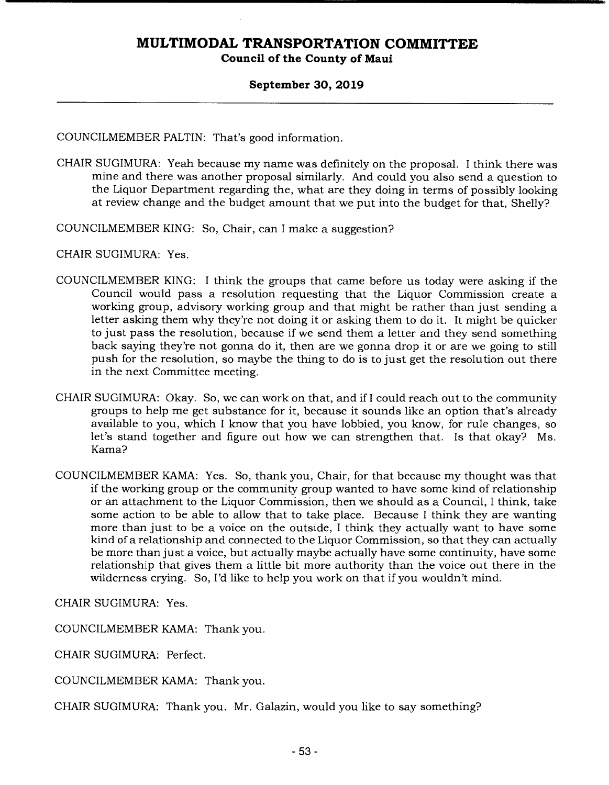**Council of the County of Maui** 

#### **September 30, 2019**

COUNCILMEMBER PALTIN: That's good information.

CHAIR SUGIMURA: Yeah because my name was definitely on the proposal. I think there was mine and there was another proposal similarly. And could you also send a question to the Liquor Department regarding the, what are they doing in terms of possibly looking at review change and the budget amount that we put into the budget for that, Shelly?

COUNCILMEMBER KING: So, Chair, can I make a suggestion?

CHAIR SUGIMURA: Yes.

- COUNCILMEMBER KING: I think the groups that came before us today were asking if the Council would pass a resolution requesting that the Liquor Commission create a working group, advisory working group and that might be rather than just sending a letter asking them why they're not doing it or asking them to do it. It might be quicker to just pass the resolution, because if we send them a letter and they send something back saying they're not gonna do it, then are we gonna drop it or are we going to still push for the resolution, so maybe the thing to do is to just get the resolution out there in the next Committee meeting.
- CHAIR SUGIMURA: Okay. So, we can work on that, and if I could reach out to the community groups to help me get substance for it, because it sounds like an option that's already available to you, which I know that you have lobbied, you know, for rule changes, so let's stand together and figure out how we can strengthen that. Is that okay? Ms. Kama?
- COUNCILMEMBER KAMA: Yes. So, thank you, Chair, for that because my thought was that if the working group or the community group wanted to have some kind of relationship or an attachment to the Liquor Commission, then we should as a Council, I think, take some action to be able to allow that to take place. Because I think they are wanting more than just to be a voice on the outside, I think they actually want to have some kind of a relationship and connected to the Liquor Commission, so that they can actually be more than just a voice, but actually maybe actually have some continuity, have some relationship that gives them a little bit more authority than the voice out there in the wilderness crying. So, I'd like to help you work on that if you wouldn't mind.

CHAIR SUGIMURA: Yes.

COUNCILMEMBER KAMA: Thank you.

CHAIR SUGIMURA: Perfect.

COUNCILMEMBER KAMA: Thank you.

CHAIR SUGIMURA: Thank you. Mr. Galazin, would you like to say something?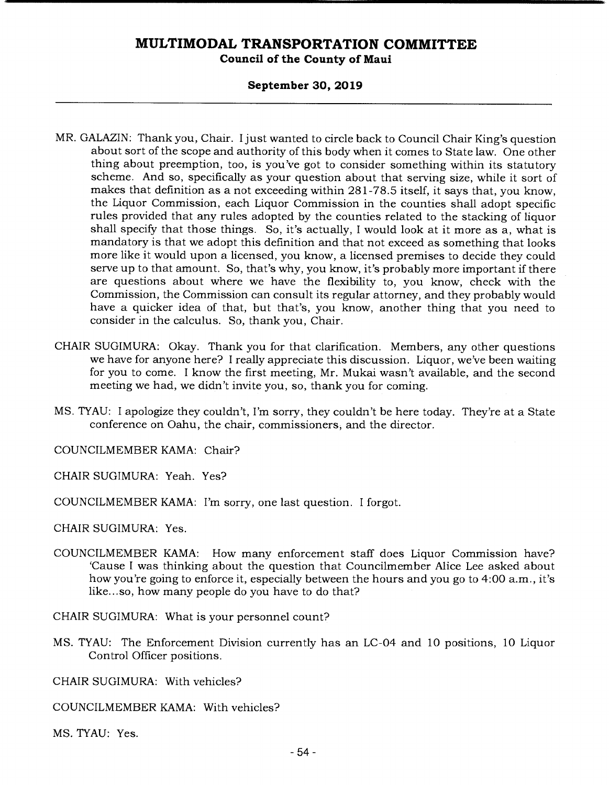#### **Council of the County of Maui**

#### **September 30, 2019**

- MR. GALAZIN: Thank you, Chair. I just wanted to circle back to Council Chair King's question about sort of the scope and authority of this body when it comes to State law. One other thing about preemption, too, is you've got to consider something within its statutory scheme. And so, specifically as your question about that serving size, while it sort of makes that definition as a not exceeding within 281-78.5 itself, it says that, you know, the Liquor Commission, each Liquor Commission in the counties shall adopt specific rules provided that any rules adopted by the counties related to the stacking of liquor shall specify that those things. So, it's actually, I would look at it more as a, what is mandatory is that we adopt this definition and that not exceed as something that looks more like it would upon a licensed, you know, a licensed premises to decide they could serve up to that amount. So, that's why, you know, it's probably more important if there are questions about where we have the flexibility to, you know, check with the Commission, the Commission can consult its regular attorney, and they probably would have a quicker idea of that, but that's, you know, another thing that you need to consider in the calculus. So, thank you, Chair.
- CHAIR SUGIMURA: Okay. Thank you for that clarification. Members, any other questions we have for anyone here? I really appreciate this discussion. Liquor, we've been waiting for you to come. I know the first meeting, Mr. Mukai wasn't available, and the second meeting we had, we didn't invite you, so, thank you for coming.
- MS. TYAU: I apologize they couldn't, I'm sorry, they couldn't be here today. They're at a State conference on Oahu, the chair, commissioners, and the director.

COUNCILMEMBER KAMA: Chair?

CHAIR SUGIMURA: Yeah. Yes?

COUNCILMEMBER KAMA: I'm sorry, one last question. I forgot.

CHAIR SUGIMURA: Yes.

COUNCILMEMBER KAMA: How many enforcement staff does Liquor Commission have? 'Cause I was thinking about the question that Councilmember Alice Lee asked about how you're going to enforce it, especially between the hours and you go to 4:00 a.m., it's like.., so, how many people do you have to do that?

CHAIR SUGIMURA: What is your personnel count?

MS. TYAU: The Enforcement Division currently has an LC-04 and 10 positions, 10 Liquor Control Officer positions.

CHAIR SUGIMURA: With vehicles?

COUNCILMEMBER KAMA: With vehicles?

MS. TYAU: Yes.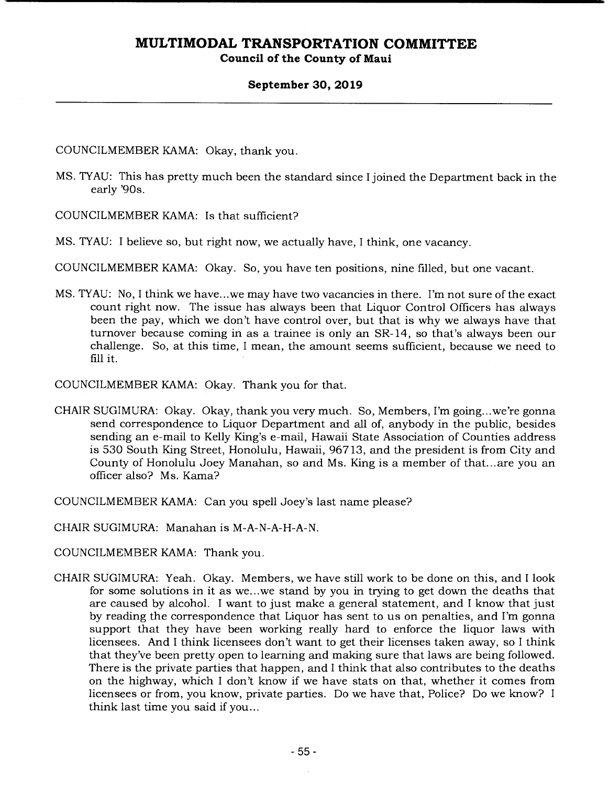#### **Council of the County of Maui**

#### **September 30, 2019**

COUNCILMEMBER KAMA: Okay, thank you.

MS. TYAU: This has pretty much been the standard since I joined the Department back in the early '90s.

COUNCILMEMBER KAMA: Is that sufficient?

MS. TYAU: I believe so, but right now, we actually have, I think, one vacancy.

COUNCILMEMBER KAMA: Okay. So, you have ten positions, nine filled, but one vacant.

MS. TYAU: No, I think we have...we may have two vacancies in there. I'm not sure of the exact count right now. The issue has always been that Liquor Control Officers has always been the pay, which we don't have control over, but that is why we always have that turnover because coming in as a trainee is only an SR- 14, so that's always been our challenge. So, at this time, I mean, the amount seems sufficient, because we need to fill it.

COUNCILMEMBER KAMA: Okay. Thank you for that.

- CHAIR SUGIMURA: Okay. Okay, thank you very much. So, Members, I'm going.. .we're gonna send correspondence to Liquor Department and all of, anybody in the public, besides sending an e-mail to Kelly King's e-mail, Hawaii State Association of Counties address is 530 South King Street, Honolulu, Hawaii, 96713, and the president is from City and County of Honolulu Joey Manahan, so and Ms. King is a member of that... are you an officer also? Ms. Kama?
- COUNCILMEMBER KAMA: Can you spell Joey's last name please?
- CHAIR SUGIMURA: Manahan is M-A-N-A-H-A-N.
- COUNCILMEMBER KAMA: Thank you.
- CHAIR SUGIMURA: Yeah. Okay. Members, we have still work to be done on this, and I look for some solutions in it as we.. .we stand by you in trying to get down the deaths that are caused by alcohol. I want to just make a general statement, and I know that just by reading the correspondence that Liquor has sent to us on penalties, and I'm gonna support that they have been working really hard to enforce the liquor laws with licensees. And I think licensees don't want to get their licenses taken away, so I think that they've been pretty open to learning and making sure that laws are being followed. There is the private parties that happen, and I think that also contributes to the deaths on the highway, which I don't know if we have stats on that, whether it comes from licensees or from, you know, private parties. Do we have that, Police? Do we know? I think last time you said if you...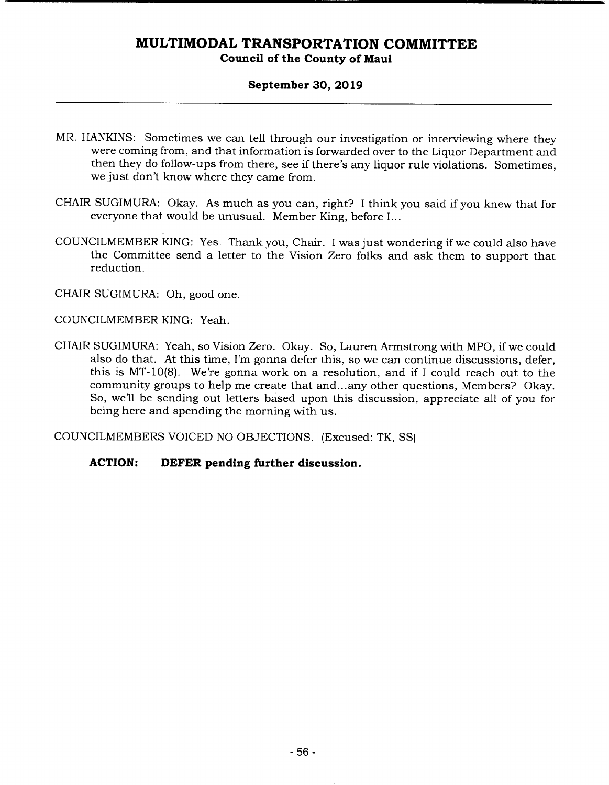#### **Council of the County of Maui**

#### **September 30, 2019**

- MR. HANKINS: Sometimes we can tell through our investigation or interviewing where they were coming from, and that information is forwarded over to the Liquor Department and then they do follow-ups from there, see if there's any liquor rule violations. Sometimes, we just don't know where they came from.
- CHAIR SUGIMURA: Okay. As much as you can, right? I think you said if you knew that for everyone that would be unusual. Member King, before I...
- COUNCILMEMBER KING: Yes. Thank you, Chair. I was just wondering if we could also have the Committee send a letter to the Vision Zero folks and ask them to support that reduction.

CHAIR SUGIMURA: Oh, good one.

COUNCILMEMBER KING: Yeah.

CHAIR SUGIMURA: Yeah, so Vision Zero. Okay. So, Lauren Armstrong with MPO, if we could also do that. At this time, I'm gonna defer this, so we can continue discussions, defer, this is MT-10(8). We're gonna work on a resolution, and if I could reach out to the community groups to help me create that and... any other questions, Members? Okay. So, well be sending out letters based upon this discussion, appreciate all of you for being here and spending the morning with us.

COUNCILMEMBERS VOICED NO OBJECTIONS. (Excused: TK, SS)

#### **ACTION: DEFER pending further discussion.**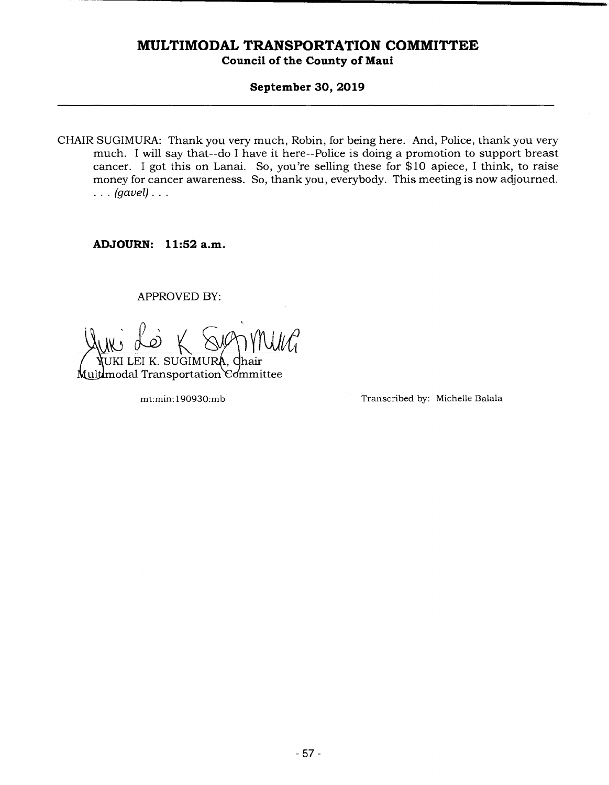#### **September 30, 2019**

CHAIR SUGIMURA: Thank you very much, Robin, for being here. And, Police, thank you very much. I will say that--do I have it here--Police is doing a promotion to support breast cancer. I got this on Lanai. So, you're selling these for \$10 apiece, I think, to raise money for cancer awareness. So, thank you, everybody. This meeting is now adjourned. *(gavel).* 

**ADJOURN: 11:52a.m.** 

APPROVED BY:

**NUKI LEI K. SUGIMURA, Chair<br>ultimodal Transportation Committee** 

mt:min: 190930:mb Transcribed by: Michelle Balala